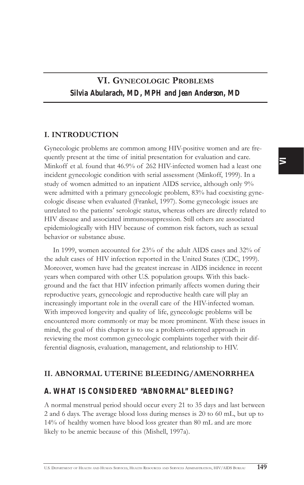### I. INTRODUCTION

Gynecologic problems are common among HIV-positive women and are frequently present at the time of initial presentation for evaluation and care. Minkoff et al. found that 46.9% of 262 HIV-infected women had a least one incident gynecologic condition with serial assessment (Minkoff, 1999). In a study of women admitted to an inpatient AIDS service, although only 9% were admitted with a primary gynecologic problem, 83% had coexisting gynecologic disease when evaluated (Frankel, 1997). Some gynecologic issues are unrelated to the patients' serologic status, whereas others are directly related to HIV disease and associated immunosuppression. Still others are associated epidemiologically with HIV because of common risk factors, such as sexual behavior or substance abuse.

In 1999, women accounted for 23% of the adult AIDS cases and 32% of the adult cases of HIV infection reported in the United States (CDC, 1999). Moreover, women have had the greatest increase in AIDS incidence in recent years when compared with other U.S. population groups. With this background and the fact that HIV infection primarily affects women during their reproductive years, gynecologic and reproductive health care will play an increasingly important role in the overall care of the HIV-infected woman. With improved longevity and quality of life, gynecologic problems will be encountered more commonly or may be more prominent. With these issues in mind, the goal of this chapter is to use a problem-oriented approach in reviewing the most common gynecologic complaints together with their differential diagnosis, evaluation, management, and relationship to HIV.

### II. ABNORMAL UTERINE BLEEDING/AMENORRHEA

### *A. WHAT IS CONSIDERED "ABNORMAL" BLEEDING?*

A normal menstrual period should occur every 21 to 35 days and last between 2 and 6 days. The average blood loss during menses is 20 to 60 mL, but up to 14% of healthy women have blood loss greater than 80 mL and are more likely to be anemic because of this (Mishell, 1997a).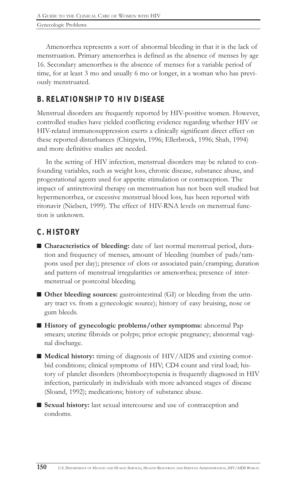Amenorrhea represents a sort of abnormal bleeding in that it is the lack of menstruation. Primary amenorrhea is defined as the absence of menses by age 16. Secondary amenorrhea is the absence of menses for a variable period of time, for at least 3 mo and usually 6 mo or longer, in a woman who has previously menstruated.

# *B. RELATIONSHIP TO HIV DISEASE*

Menstrual disorders are frequently reported by HIV-positive women. However, controlled studies have yielded conflicting evidence regarding whether HIV or HIV-related immunosuppression exerts a clinically significant direct effect on these reported disturbances (Chirgwin, 1996; Ellerbrock, 1996; Shah, 1994) and more definitive studies are needed.

In the setting of HIV infection, menstrual disorders may be related to confounding variables, such as weight loss, chronic disease, substance abuse, and progestational agents used for appetite stimulation or contraception. The impact of antiretroviral therapy on menstruation has not been well studied but hypermenorrhea, or excessive menstrual blood loss, has been reported with ritonavir (Nielsen, 1999). The effect of HIV-RNA levels on menstrual function is unknown.

# *C. HISTORY*

- Characteristics of bleeding: date of last normal menstrual period, duration and frequency of menses, amount of bleeding (number of pads/tampons used per day); presence of clots or associated pain/cramping; duration and pattern of menstrual irregularities or amenorrhea; presence of intermenstrual or postcoital bleeding.
- $\blacksquare$  Other bleeding sources: gastrointestinal (GI) or bleeding from the urinary tract vs. from a gynecologic source); history of easy bruising, nose or gum bleeds.
- History of gynecologic problems/other symptoms: abnormal Pap smears; uterine fibroids or polyps; prior ectopic pregnancy; abnormal vaginal discharge.
- $\blacksquare$  Medical history: timing of diagnosis of HIV/AIDS and existing comorbid conditions; clinical symptoms of HIV; CD4 count and viral load; history of platelet disorders (thrombocytopenia is frequently diagnosed in HIV infection, particularly in individuals with more advanced stages of disease (Sloand, 1992); medications; history of substance abuse.
- Sexual history: last sexual intercourse and use of contraception and condoms.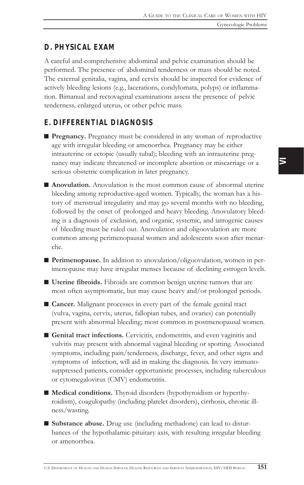### *D. PHYSICAL EXAM*

A careful and comprehensive abdominal and pelvic examination should be performed. The presence of abdominal tenderness or mass should be noted. The external genitalia, vagina, and cervix should be inspected for evidence of actively bleeding lesions (e.g., lacerations, condylomata, polyps) or inflammation. Bimanual and rectovaginal examinations assess the presence of pelvic tenderness, enlarged uterus, or other pelvic mass.

## *E. DIFFERENTIAL DIAGNOSIS*

- **Pregnancy.** Pregnancy must be considered in any woman of reproductive age with irregular bleeding or amenorrhea. Pregnancy may be either intrauterine or ectopic (usually tubal); bleeding with an intrauterine pregnancy may indicate threatened or incomplete abortion or miscarriage or a serious obstetric complication in later pregnancy.
- Anovulation. Anovulation is the most common cause of abnormal uterine bleeding among reproductive-aged women. Typically, the woman has a history of menstrual irregularity and may go several months with no bleeding, followed by the onset of prolonged and heavy bleeding. Anovulatory bleeding is a diagnosis of exclusion, and organic, systemic, and iatrogenic causes of bleeding must be ruled out. Anovulation and oligoovulation are more common among perimenopausal women and adolescents soon after menarche.
- Perimenopause. In addition to anovulation/oligoovulation, women in perimenopause may have irregular menses because of declining estrogen levels.
- Uterine fibroids. Fibroids are common benign uterine tumors that are most often asymptomatic, but may cause heavy and/or prolonged periods.
- Cancer. Malignant processes in every part of the female genital tract (vulva, vagina, cervix, uterus, fallopian tubes, and ovaries) can potentially present with abnormal bleeding; most common in postmenopausal women.
- Genital tract infections. Cervicitis, endometritis, and even vaginitis and vulvitis may present with abnormal vaginal bleeding or spotting. Associated symptoms, including pain/tenderness, discharge, fever, and other signs and symptoms of infection, will aid in making the diagnosis. In very immunosuppressed patients, consider opportunistic processes, including tuberculous or cytomegalovirus (CMV) endometritis.
- $\blacksquare$  Medical conditions. Thyroid disorders (hypothyroidism or hyperthyroidism), coagulopathy (including platelet disorders), cirrhosis, chronic illness/wasting.
- Substance abuse. Drug use (including methadone) can lead to disturbances of the hypothalamic-pituitary axis, with resulting irregular bleeding or amenorrhea.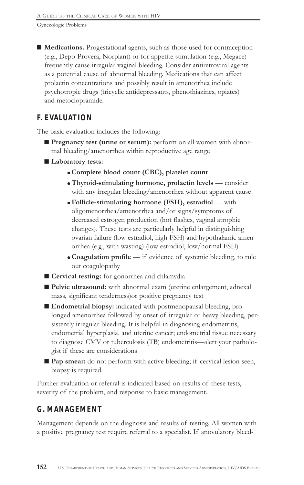■ Medications. Progestational agents, such as those used for contraception (e.g., Depo-Provera, Norplant) or for appetite stimulation (e.g., Megace) frequently cause irregular vaginal bleeding. Consider antiretroviral agents as a potential cause of abnormal bleeding. Medications that can affect prolactin concentrations and possibly result in amenorrhea include psychotropic drugs (tricyclic antidepressants, phenothiazines, opiates) and metoclopramide.

## *F. EVALUATION*

The basic evaluation includes the following:

- Pregnancy test (urine or serum): perform on all women with abnormal bleeding/amenorrhea within reproductive age range
- Laboratory tests:
	- ! Complete blood count (CBC), platelet count
	- $\bullet$  Thyroid-stimulating hormone, prolactin levels consider with any irregular bleeding/amenorrhea without apparent cause
	- $\bullet$  Follicle-stimulating hormone (FSH), estradiol with oligomenorrhea/amenorrhea and/or signs/symptoms of decreased estrogen production (hot flashes, vaginal atrophic changes). These tests are particularly helpful in distinguishing ovarian failure (low estradiol, high FSH) and hypothalamic amenorrhea (e.g., with wasting) (low estradiol, low/normal FSH)
	- Coagulation profile if evidence of systemic bleeding, to rule out coagulopathy
- Cervical testing: for gonorrhea and chlamydia
- Pelvic ultrasound: with abnormal exam (uterine enlargement, adnexal mass, significant tenderness)or positive pregnancy test
- Endometrial biopsy: indicated with postmenopausal bleeding, prolonged amenorrhea followed by onset of irregular or heavy bleeding, persistently irregular bleeding. It is helpful in diagnosing endometritis, endometrial hyperplasia, and uterine cancer; endometrial tissue necessary to diagnose CMV or tuberculosis (TB) endometritis—alert your pathologist if these are considerations
- Pap smear: do not perform with active bleeding; if cervical lesion seen, biopsy is required.

Further evaluation or referral is indicated based on results of these tests, severity of the problem, and response to basic management.

# *G. MANAGEMENT*

Management depends on the diagnosis and results of testing. All women with a positive pregnancy test require referral to a specialist. If anovulatory bleed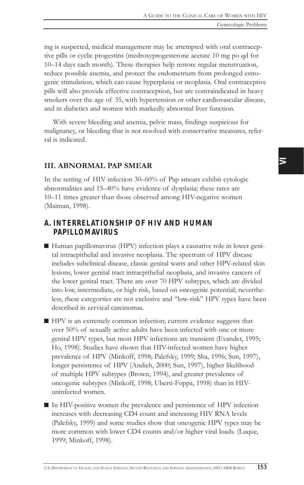ing is suspected, medical management may be attempted with oral contraceptive pills or cyclic progestins (medroxyprogesterone acetate 10 mg po qd for 10-14 days each month). These therapies help restore regular menstruation, reduce possible anemia, and protect the endometrium from prolonged estrogenic stimulation, which can cause hyperplasia or neoplasia. Oral contraceptive pills will also provide effective contraception, but are contraindicated in heavy smokers over the age of 35, with hypertension or other cardiovascular disease, and in diabetics and women with markedly abnormal liver function.

With severe bleeding and anemia, pelvic mass, findings suspicious for malignancy, or bleeding that is not resolved with conservative measures, referral is indicated.

### III. ABNORMAL PAP SMEAR

In the setting of HIV infection 30-60% of Pap smears exhibit cytologic abnormalities and 15–40% have evidence of dysplasia; these rates are 10-11 times greater than those observed among HIV-negative women (Maiman, 1998).

### *A. INTERRELATIONSHIP OF HIV AND HUMAN PAPILLOMAVIRUS*

- Human papillomavirus (HPV) infection plays a causative role in lower genital intraepithelial and invasive neoplasia. The spectrum of HPV disease includes subclinical disease, classic genital warts and other HPV-related skin lesions, lower genital tract intraepithelial neoplasia, and invasive cancers of the lower genital tract. There are over 70 HPV subtypes, which are divided into low, intermediate, or high risk, based on oncogenic potential; nevertheless, these categorties are not exclusive and "low-risk" HPV types have been described in cervical carcinomas.
- $\blacksquare$  HPV is an extremely common infection; current evidence suggests that over 50% of sexually active adults have been infected with one or more genital HPV types, but most HPV infections are transient (Evander, 1995; Ho, 1998). Studies have shown that HIV-infected women have higher prevalence of HPV (Minkoff, 1998; Palefsky, 1999; Sha, 1996; Sun, 1997), longer persistence of HPV (Andieh, 2000; Sun, 1997), higher likelihood of multiple HPV subtypes (Brown, 1994), and greater prevalence of oncogenic subtypes (Minkoff, 1998; Uberti-Foppa, 1998) than in HIVuninfected women.
- In HIV-positive women the prevalence and persistence of HPV infection increases with decreasing CD4 count and increasing HIV RNA levels (Palefsky, 1999) and some studies show that oncogenic HPV types may be more common with lower CD4 counts and/or higher viral loads. (Luque, 1999; Minkoff, 1998).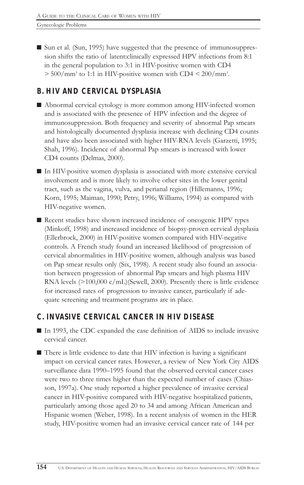■ Sun et al. (Sun, 1995) have suggested that the presence of immunosuppression shifts the ratio of latent:clinically expressed HPV infections from 8:1 in the general population to 3:1 in HIV-positive women with CD4  $> 500/mm^3$  to 1:1 in HIV-positive women with CD4  $< 200/mm^3$ .

# *B. HIV AND CERVICAL DYSPLASIA*

- Abnormal cervical cytology is more common among HIV-infected women and is associated with the presence of HPV infection and the degree of immunosuppression. Both frequency and severity of abnormal Pap smears and histologically documented dysplasia increase with declining CD4 counts and have also been associated with higher HIV-RNA levels (Garzetti, 1995; Shah, 1996). Incidence of abnormal Pap smears is increased with lower CD4 counts (Delmas, 2000).
- $\blacksquare$  In HIV-positive women dysplasia is associated with more extensive cervical involvement and is more likely to involve other sites in the lower genital tract, such as the vagina, vulva, and perianal region (Hillemanns, 1996; Korn, 1995; Maiman, 1990; Petry, 1996; Williams, 1994) as compared with HIV-negative women.
- Recent studies have shown increased incidence of oncogenic HPV types (Minkoff, 1998) and increased incidence of biopsy-proven cervical dysplasia (Ellerbrock, 2000) in HIV-positive women compared with HIV-negative controls. A French study found an increased likelihood of progression of cervical abnormalities in HIV-positive women, although analysis was based on Pap smear results only (Six, 1998). A recent study also found an association between progression of abnormal Pap smears and high plasma HIV RNA levels (>100,000 c/mL)(Sewell, 2000). Presently there is little evidence for increased rates of progression to invasive cancer, particularly if adequate screening and treatment programs are in place.

# *C. INVASIVE CERVICAL CANCER IN HIV DISEASE*

- In 1993, the CDC expanded the case definition of AIDS to include invasive cervical cancer.
- $\blacksquare$  There is little evidence to date that HIV infection is having a significant impact on cervical cancer rates. However, a review of New York City AIDS surveillance data 1990-1995 found that the observed cervical cancer cases were two to three times higher than the expected number of cases (Chiasson, 1997a). One study reported a higher prevalence of invasive cervical cancer in HIV-positive compared with HIV-negative hospitalized patients, particularly among those aged 20 to 34 and among African American and Hispanic women (Weber, 1998). In a recent analysis of women in the HER study, HIV-positive women had an invasive cervical cancer rate of 144 per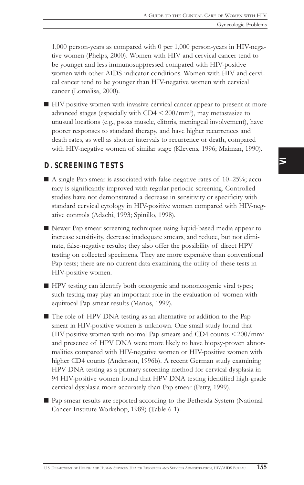$\overline{\phantom{1}}$ 

1,000 person-years as compared with 0 per 1,000 person-years in HIV-negative women (Phelps, 2000). Women with HIV and cervical cancer tend to be younger and less immunosuppressed compared with HIV-positive women with other AIDS-indicator conditions. Women with HIV and cervical cancer tend to be younger than HIV-negative women with cervical cancer (Lomalisa, 2000).

 $\blacksquare$  HIV-positive women with invasive cervical cancer appear to present at more advanced stages (especially with  $CD4 < 200/mm^3$ ), may metastasize to unusual locations (e.g., psoas muscle, clitoris, meningeal involvement), have poorer responses to standard therapy, and have higher recurrences and death rates, as well as shorter intervals to recurrence or death, compared with HIV-negative women of similar stage (Klevens, 1996; Maiman, 1990).

### *D. SCREENING TESTS*

- $\blacksquare$  A single Pap smear is associated with false-negative rates of 10–25%; accuracy is significantly improved with regular periodic screening. Controlled studies have not demonstrated a decrease in sensitivity or specificity with standard cervical cytology in HIV-positive women compared with HIV-negative controls (Adachi, 1993; Spinillo, 1998).
- Newer Pap smear screening techniques using liquid-based media appear to increase sensitivity, decrease inadequate smears, and reduce, but not eliminate, false-negative results; they also offer the possibility of direct HPV testing on collected specimens. They are more expensive than conventional Pap tests; there are no current data examining the utility of these tests in HIV-positive women.
- HPV testing can identify both oncogenic and nononcogenic viral types; such testing may play an important role in the evaluation of women with equivocal Pap smear results (Manos, 1999).
- $\blacksquare$  The role of HPV DNA testing as an alternative or addition to the Pap smear in HIV-positive women is unknown. One small study found that HIV-positive women with normal Pap smears and CD4 counts < 200/mm3 and presence of HPV DNA were more likely to have biopsy-proven abnormalities compared with HIV-negative women or HIV-positive women with higher CD4 counts (Anderson, 1996b). A recent German study examining HPV DNA testing as a primary screening method for cervical dysplasia in 94 HIV-positive women found that HPV DNA testing identified high-grade cervical dysplasia more accurately than Pap smear (Petry, 1999).
- Pap smear results are reported according to the Bethesda System (National Cancer Institute Workshop, 1989) (Table 6-1).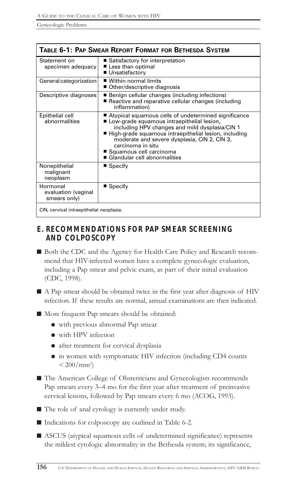| Table 6-1: Pap Smear Report Format for Bethesda System |                                                                                                                                                                                                                                                                                                                                                     |  |
|--------------------------------------------------------|-----------------------------------------------------------------------------------------------------------------------------------------------------------------------------------------------------------------------------------------------------------------------------------------------------------------------------------------------------|--|
| Statement on<br>specimen adequacy                      | ■ Satisfactory for interpretation<br>■ Less than optimal<br>■ Unsatisfactory                                                                                                                                                                                                                                                                        |  |
| General categorization                                 | $\blacksquare$ Within normal limits<br>■ Other/descriptive diagnosis                                                                                                                                                                                                                                                                                |  |
| Descriptive diagnoses                                  | Benign cellular changes (including infections)<br>Reactive and reparative cellular changes (including<br>inflammation)                                                                                                                                                                                                                              |  |
| Epithelial cell<br>abnormalities                       | ■ Atypical squamous cells of undetermined significance<br>Low-grade squamous intraepithelial lesion,<br>including HPV changes and mild dysplasia/CIN 1<br>■ High-grade squamous intraepithelial lesion, including<br>moderate and severe dysplasia, CIN 2, CIN 3,<br>carcinoma in situ<br>■ Squamous cell carcinoma<br>Glandular cell abnormalities |  |
| Nonepithelial<br>malignant<br>neoplasm                 | $\blacksquare$ Specify                                                                                                                                                                                                                                                                                                                              |  |
| Hormonal<br>evaluation (vaginal<br>smears only)        | $\blacksquare$ Specify                                                                                                                                                                                                                                                                                                                              |  |
| CIN, cervical intraepithelial neoplasia.               |                                                                                                                                                                                                                                                                                                                                                     |  |

## *E. RECOMMENDATIONS FOR PAP SMEAR SCREENING AND COLPOSCOPY*

- Both the CDC and the Agency for Health Care Policy and Research recommend that HIV-infected women have a complete gynecologic evaluation, including a Pap smear and pelvic exam, as part of their initial evaluation (CDC, 1998).
- $\blacksquare$  A Pap smear should be obtained twice in the first year after diagnosis of HIV infection. If these results are normal, annual examinations are then indicated.

■ More frequent Pap smears should be obtained:

- ! with previous abnormal Pap smear
- $\bullet$  with HPV infection
- $\bullet$  after treatment for cervical dysplasia
- $\bullet$  in women with symptomatic HIV infection (including CD4 counts  $< 200/mm^3$
- The American College of Obstetricians and Gynecologists recommends Pap smears every 3–4 mo for the first year after treatment of preinvasive cervical lesions, followed by Pap smears every 6 mo (ACOG, 1993).
- $\blacksquare$  The role of anal cytology is currently under study.

■ Indications for colposcopy are outlined in Table 6-2.

■ ASCUS (atypical squamous cells of undetermined significance) represents the mildest cytologic abnormality in the Bethesda system; its significance,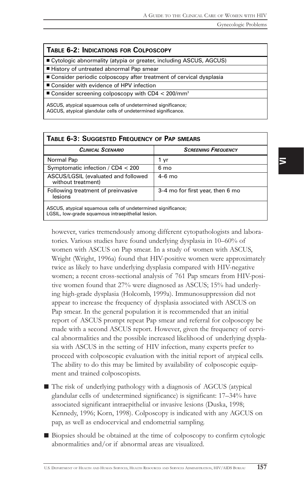#### TABLE 6-2: INDICATIONS FOR COLPOSCOPY

■ Cytologic abnormality (atypia or greater, including ASCUS, AGCUS)

■ History of untreated abnormal Pap smear

■ Consider periodic colposcopy after treatment of cervical dysplasia

■ Consider with evidence of HPV infection

 $\blacksquare$  Consider screening colposcopy with CD4 < 200/mm<sup>3</sup>

ASCUS, atypical squamous cells of undetermined significance; AGCUS, atypical glandular cells of undetermined significance.

| <b>TABLE 6-3: SUGGESTED FREQUENCY OF PAP SMEARS</b>       |                                  |  |
|-----------------------------------------------------------|----------------------------------|--|
| <b>CLINICAL SCENARIO</b>                                  | <b>SCREENING FREQUENCY</b>       |  |
| Normal Pap                                                | 1 vr                             |  |
| Symptomatic infection / $CD4 < 200$                       | 6 mo                             |  |
| ASCUS/LGSIL (evaluated and followed<br>without treatment) | $4-6$ mo                         |  |
| Following treatment of preinvasive<br>lesions             | 3-4 mo for first year, then 6 mo |  |
|                                                           |                                  |  |

ASCUS, atypical squamous cells of undetermined significance; LGSIL, low-grade squamous intraepithelial lesion.

however, varies tremendously among different cytopathologists and laboratories. Various studies have found underlying dysplasia in 10-60% of women with ASCUS on Pap smear. In a study of women with ASCUS, Wright (Wright, 1996a) found that HIV-positive women were approximately twice as likely to have underlying dysplasia compared with HIV-negative women; a recent cross-sectional analysis of 761 Pap smears from HIV-positive women found that 27% were diagnosed as ASCUS; 15% had underlying high-grade dysplasia (Holcomb, 1999a). Immunosuppression did not appear to increase the frequency of dysplasia associated with ASCUS on Pap smear. In the general population it is recommended that an initial report of ASCUS prompt repeat Pap smear and referral for colposcopy be made with a second ASCUS report. However, given the frequency of cervical abnormalities and the possible increased likelihood of underlying dysplasia with ASCUS in the setting of HIV infection, many experts prefer to proceed with colposcopic evaluation with the initial report of atypical cells. The ability to do this may be limited by availability of colposcopic equipment and trained colposcopists.

- $\blacksquare$  The risk of underlying pathology with a diagnosis of AGCUS (atypical glandular cells of undetermined significance) is significant: 17-34% have associated significant intraepithelial or invasive lesions (Duska, 1998; Kennedy, 1996; Korn, 1998). Colposcopy is indicated with any AGCUS on pap, as well as endocervical and endometrial sampling.
- $\blacksquare$  Biopsies should be obtained at the time of colposcopy to confirm cytologic abnormalities and/or if abnormal areas are visualized.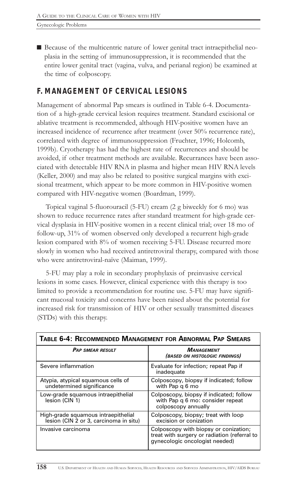■ Because of the multicentric nature of lower genital tract intraepithelial neoplasia in the setting of immunosuppression, it is recommended that the entire lower genital tract (vagina, vulva, and perianal region) be examined at the time of colposcopy.

# *F. MANAGEMENT OF CERVICAL LESIONS*

Management of abnormal Pap smears is outlined in Table 6-4. Documentation of a high-grade cervical lesion requires treatment. Standard excisional or ablative treatment is recommended, although HIV-positive women have an increased incidence of recurrence after treatment (over 50% recurrence rate), correlated with degree of immunosuppression (Fruchter, 1996; Holcomb, 1999b). Cryotherapy has had the highest rate of recurrences and should be avoided, if other treatment methods are available. Recurrances have been associated with detectable HIV RNA in plasma and higher mean HIV RNA levels (Keller, 2000) and may also be related to positive surgical margins with excisional treatment, which appear to be more common in HIV-positive women compared with HIV-negative women (Boardman, 1999).

Topical vaginal 5-fluorouracil (5-FU) cream (2 g biweekly for 6 mo) was shown to reduce recurrence rates after standard treatment for high-grade cervical dysplasia in HIV-positive women in a recent clinical trial; over 18 mo of follow-up, 31% of women observed only developed a recurrent high-grade lesion compared with 8% of women receiving 5-FU. Disease recurred more slowly in women who had received antiretroviral therapy, compared with those who were antiretroviral-naïve (Maiman, 1999).

5-FU may play a role in secondary prophylaxis of preinvasive cervical lesions in some cases. However, clinical experience with this therapy is too limited to provide a recommendation for routine use. 5-FU may have significant mucosal toxicity and concerns have been raised about the potential for increased risk for transmission of HIV or other sexually transmitted diseases (STDs) with this therapy.

| TABLE 6-4: RECOMMENDED MANAGEMENT FOR ABNORMAL PAP SMEARS                     |                                                                                                                         |  |
|-------------------------------------------------------------------------------|-------------------------------------------------------------------------------------------------------------------------|--|
| <b>PAP SMEAR RESULT</b>                                                       | <b>MANAGEMENT</b><br><i>(BASED ON HISTOLOGIC FINDINGS)</i>                                                              |  |
| Severe inflammation                                                           | Evaluate for infection; repeat Pap if<br>inadequate                                                                     |  |
| Atypia, atypical squamous cells of<br>undetermined significance               | Colposcopy, biopsy if indicated; follow<br>with Pap q 6 mo                                                              |  |
| Low-grade squamous intraepithelial<br>lesion (CIN 1)                          | Colposcopy, biopsy if indicated; follow<br>with Pap q 6 mo: consider repeat<br>colposcopy annually                      |  |
| High-grade squamous intraepithelial<br>lesion (CIN 2 or 3, carcinoma in situ) | Colposcopy, biopsy; treat with loop<br>excision or conization                                                           |  |
| Invasive carcinoma                                                            | Colposcopy with biopsy or conization;<br>treat with surgery or radiation (referral to<br>gynecologic oncologist needed) |  |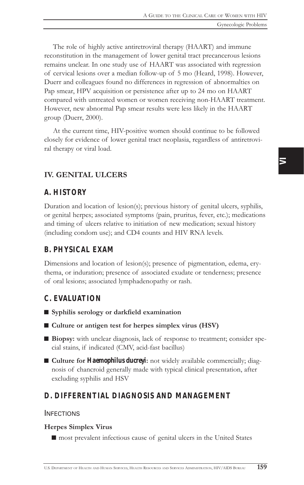The role of highly active antiretroviral therapy (HAART) and immune reconstitution in the management of lower genital tract precancerous lesions remains unclear. In one study use of HAART was associated with regression of cervical lesions over a median follow-up of 5 mo (Heard, 1998). However, Duerr and colleagues found no differences in regression of abnormalties on Pap smear, HPV acquisition or persistence after up to 24 mo on HAART compared with untreated women or women receiving non-HAART treatment. However, new abnormal Pap smear results were less likely in the HAART group (Duerr, 2000).

At the current time, HIV-positive women should continue to be followed closely for evidence of lower genital tract neoplasia, regardless of antiretroviral therapy or viral load.

### IV. GENITAL ULCERS

### *A. HISTORY*

Duration and location of lesion(s); previous history of genital ulcers, syphilis, or genital herpes; associated symptoms (pain, pruritus, fever, etc.); medications and timing of ulcers relative to initiation of new medication; sexual history (including condom use); and CD4 counts and HIV RNA levels.

## *B. PHYSICAL EXAM*

Dimensions and location of lesion(s); presence of pigmentation, edema, erythema, or induration; presence of associated exudate or tenderness; presence of oral lesions; associated lymphadenopathy or rash.

### *C. EVALUATION*

- Syphilis serology or darkfield examination
- $\blacksquare$  Culture or antigen test for herpes simplex virus (HSV)
- Biopsy: with unclear diagnosis, lack of response to treatment; consider special stains, if indicated (CMV, acid-fast bacillus)
- Culture for *Haemophilus ducreyi*: not widely available commercially; diagnosis of chancroid generally made with typical clinical presentation, after excluding syphilis and HSV

### *D. DIFFERENTIAL DIAGNOSIS AND MANAGEMENT*

#### INFECTIONS

### Herpes Simplex Virus

 $\blacksquare$  most prevalent infectious cause of genital ulcers in the United States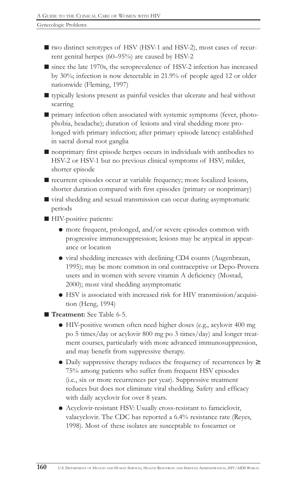$\blacksquare$  two distinct serotypes of HSV (HSV-1 and HSV-2), most cases of recurrent genital herpes  $(60-95%)$  are caused by HSV-2

 $\blacksquare$  since the late 1970s, the seroprevalence of HSV-2 infection has increased by 30%; infection is now detectable in 21.9% of people aged 12 or older nationwide (Fleming, 1997)

 $\blacksquare$  typically lesions present as painful vesicles that ulcerate and heal without scarring

 $\blacksquare$  primary infection often associated with systemic symptoms (fever, photophobia, headache); duration of lesions and viral shedding more prolonged with primary infection; after primary episode latency established in sacral dorsal root ganglia

 $\blacksquare$  nonprimary first episode herpes occurs in individuals with antibodies to HSV-2 or HSV-1 but no previous clinical symptoms of HSV; milder, shorter episode

■ recurrent episodes occur at variable frequency; more localized lesions, shorter duration compared with first episodes (primary or nonprimary)

 $\blacksquare$  viral shedding and sexual transmission can occur during asymptomatic periods

■ HIV-positive patients:

- ! more frequent, prolonged, and/or severe episodes common with progressive immunesuppression; lesions may be atypical in appearance or location
- ! viral shedding increases with declining CD4 counts (Augenbraun, 1995); may be more common in oral contraceptive or Depo-Provera users and in women with severe vitamin A deficiency (Mostad, 2000); most viral shedding asymptomatic
- ! HSV is associated with increased risk for HIV transmission/acquisition (Heng, 1994)

■ Treatment: See Table 6-5.

- ! HIV-positive women often need higher doses (e.g., acylovir 400 mg po 5 times/day or acylovir 800 mg po 3 times/day) and longer treatment courses, particularly with more advanced immunosuppression, and may benefit from suppressive therapy.
- ! Daily suppressive therapy reduces the frequency of recurrences by <sup>≥</sup> 75% among patients who suffer from frequent HSV episodes (i.e., six or more recurrences per year). Suppressive treatment reduces but does not eliminate viral shedding. Safety and efficacy with daily acyclovir for over 8 years.
- ! Acyclovir-resistant HSV: Usually cross-resistant to famciclovir, valacyclovir. The CDC has reported a 6.4% resistance rate (Reyes, 1998). Most of these isolates are susceptable to foscarnet or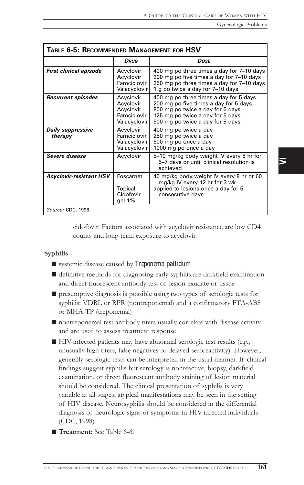| TABLE 6-5: RECOMMENDED MANAGEMENT FOR HSV |                                                                    |                                                                                                                                                                                             |
|-------------------------------------------|--------------------------------------------------------------------|---------------------------------------------------------------------------------------------------------------------------------------------------------------------------------------------|
|                                           | Drug                                                               | Dose                                                                                                                                                                                        |
| <b>First clinical episode</b>             | Acyclovir<br>Acyclovir<br>Famciclovir<br>Valacyclovir              | 400 mg po three times a day for 7-10 days<br>200 mg po five times a day for 7-10 days<br>250 mg po three times a day for 7-10 days<br>1 g po twice a day for 7-10 days                      |
| Recurrent episodes                        | Acyclovir<br>Acyclovir<br>Acyclovir<br>Famciclovir<br>Valacyclovir | 400 mg po three times a day for 5 days<br>200 mg po five times a day for 5 days<br>800 mg po twice a day for 5 days<br>125 mg po twice a day for 5 days<br>500 mg po twice a day for 5 days |
| Daily suppressive<br>therapy              | Acyclovir<br>Famciclovir<br>Valacyclovir  <br>Valacyclovir         | 400 mg po twice a day<br>250 mg po twice a day<br>500 mg po once a day<br>1000 mg po once a day                                                                                             |
| Severe disease                            | Acyclovir                                                          | 5-10 mg/kg body weight IV every 8 hr for<br>5-7 days or until clinical resolution is<br>achieved                                                                                            |
| <b>Acyclovir-resistant HSV</b>            | Foscarnet<br>Topical<br>Cidofovir<br>gel 1%                        | 40 mg/kg body weight IV every 8 hr or 60<br>mg/kg IV every 12 hr for 3 wk<br>applied to lesions once a day for 5<br>consecutive days                                                        |
| Source: CDC, 1998.                        |                                                                    |                                                                                                                                                                                             |

cidofovir. Factors associated with acyclovir resistance are low CD4 counts and long-term exposure to acyclovir.

#### Syphilis

- systemic disease caused by *Treponema pallidum*
- $\blacksquare$  definitive methods for diagnosing early syphilis are darkfield examination and direct fluorescent antibody test of lesion exudate or tissue
- $\blacksquare$  presumptive diagnosis is possible using two types of serologic tests for syphilis: VDRL or RPR (nontreponemal) and a confirmatory FTA-ABS or MHA-TP (treponemal)
- $\blacksquare$  nontreponemal test antibody titers usually correlate with disease activity and are used to assess treatment response
- HIV-infected patients may have abnormal serologic test results (e.g., unusually high titers, false negatives or delayed seroreactivity). However, generally serologic tests can be interpreted in the usual manner. If clinical findings suggest syphilis but serology is nonreactive, biopsy, darkfield examination, or direct fluorescent antibody staining of lesion material should be considered. The clinical presentation of syphilis is very variable at all stages; atypical manifestations may be seen in the setting of HIV disease. Neurosyphilis should be considered in the differential diagnosis of neurologic signs or symptoms in HIV-infected individuals (CDC, 1998).
- **Treatment:** See Table 6-6.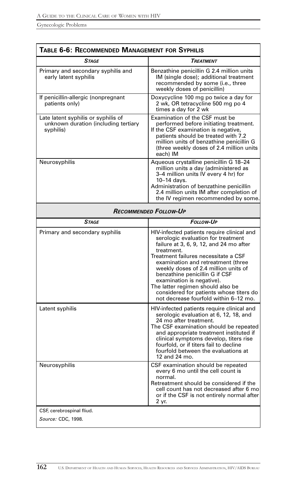| TABLE 6-6: RECOMMENDED MANAGEMENT FOR SYPHILIS                                           |                                                                                                                                                                                                                                                                                                                                                                                                                                                         |  |
|------------------------------------------------------------------------------------------|---------------------------------------------------------------------------------------------------------------------------------------------------------------------------------------------------------------------------------------------------------------------------------------------------------------------------------------------------------------------------------------------------------------------------------------------------------|--|
| <b>STAGE</b>                                                                             | <b>TREATMENT</b>                                                                                                                                                                                                                                                                                                                                                                                                                                        |  |
| Primary and secondary syphilis and<br>early latent syphilis                              | Benzathine penicillin G 2.4 million units<br>IM (single dose); additional treatment<br>recommended by some (i.e., three<br>weekly doses of penicillin)                                                                                                                                                                                                                                                                                                  |  |
| If penicillin-allergic (nonpregnant<br>patients only)                                    | Doxycycline 100 mg po twice a day for<br>2 wk, OR tetracycline 500 mg po 4<br>times a day for 2 wk                                                                                                                                                                                                                                                                                                                                                      |  |
| Late latent syphilis or syphilis of<br>unknown duration (including tertiary<br>syphilis) | Examination of the CSF must be<br>performed before initiating treatment.<br>If the CSF examination is negative,<br>patients should be treated with 7.2<br>million units of benzathine penicillin G<br>(three weekly doses of 2.4 million units<br>each) IM                                                                                                                                                                                              |  |
| Neurosyphilis                                                                            | Aqueous crystalline penicillin G 18-24<br>million units a day (administered as<br>3-4 million units IV every 4 hr) for<br>10-14 davs.<br>Administration of benzathine penicillin<br>2.4 million units IM after completion of<br>the IV regimen recommended by some.                                                                                                                                                                                     |  |
| <b>RECOMMENDED FOLLOW-UP</b>                                                             |                                                                                                                                                                                                                                                                                                                                                                                                                                                         |  |
| <b>STAGE</b>                                                                             | <b>FOLLOW-UP</b>                                                                                                                                                                                                                                                                                                                                                                                                                                        |  |
| Primary and secondary syphilis                                                           | HIV-infected patients require clinical and<br>serologic evaluation for treatment<br>failure at 3, 6, 9, 12, and 24 mo after<br>treatment.<br>Treatment failures necessitate a CSF<br>examination and retreatment (three<br>weekly doses of 2.4 million units of<br>benzathine penicillin G if CSF<br>examination is negative).<br>The latter regimen should also be<br>considered for patients whose titers do<br>not decrease fourfold within 6-12 mo. |  |
| Latent syphilis                                                                          | HIV-infected patients require clinical and<br>serologic evaluation at 6, 12, 18, and<br>24 mo after treatment.<br>The CSF examination should be repeated<br>and appropriate treatment instituted if<br>clinical symptoms develop, titers rise<br>fourfold, or if titers fail to decline<br>fourfold between the evaluations at<br>12 and 24 mo.                                                                                                         |  |
| Neurosyphilis                                                                            | CSF examination should be repeated<br>every 6 mo until the cell count is<br>normal.<br>Retreatment should be considered if the<br>cell count has not decreased after 6 mo<br>or if the CSF is not entirely normal after<br>2 yr.                                                                                                                                                                                                                        |  |
| CSF, cerebrospinal fliud.<br>Source: CDC, 1998.                                          |                                                                                                                                                                                                                                                                                                                                                                                                                                                         |  |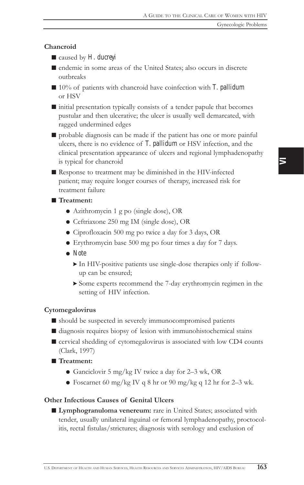### Chancroid

- caused by *H. ducreyi*
- $\blacksquare$  endemic in some areas of the United States; also occurs in discrete outbreaks
- 10% of patients with chancroid have coinfection with *T. pallidum* or HSV
- $\blacksquare$  initial presentation typically consists of a tender papule that becomes pustular and then ulcerative; the ulcer is usually well demarcated, with ragged undermined edges
- $\blacksquare$  probable diagnosis can be made if the patient has one or more painful ulcers, there is no evidence of *T. pallidum* or HSV infection, and the clinical presentation appearance of ulcers and regional lymphadenopathy is typical for chancroid
- $\blacksquare$  Response to treatment may be diminished in the HIV-infected patient; may require longer courses of therapy, increased risk for treatment failure

### ■ Treatment:

- ! Azithromycin 1 g po (single dose), OR
- ! Ceftriaxone 250 mg IM (single dose), OR
- ! Ciprofloxacin 500 mg po twice a day for 3 days, OR
- ! Erythromycin base 500 mg po four times a day for 7 days.
- ! *Note*
	- > In HIV-positive patients use single-dose therapies only if followup can be ensured;
	- > Some experts recommend the 7-day erythromycin regimen in the setting of HIV infection.

#### Cytomegalovirus

- $\blacksquare$  should be suspected in severely immunocompromised patients
- $\blacksquare$  diagnosis requires biopsy of lesion with immunohistochemical stains
- cervical shedding of cytomegalovirus is associated with low CD4 counts (Clark, 1997)
- Treatment:
	- Ganciclovir 5 mg/kg IV twice a day for 2-3 wk, OR
	- Foscarnet 60 mg/kg IV q 8 hr or 90 mg/kg q 12 hr for 2–3 wk.

### Other Infectious Causes of Genital Ulcers

■ Lymphogranuloma venereum: rare in United States; associated with tender, usually unilateral inguinal or femoral lymphadenopathy, proctocolitis, rectal fistulas/strictures; diagnosis with serology and exclusion of

 $\overline{\phantom{1}}$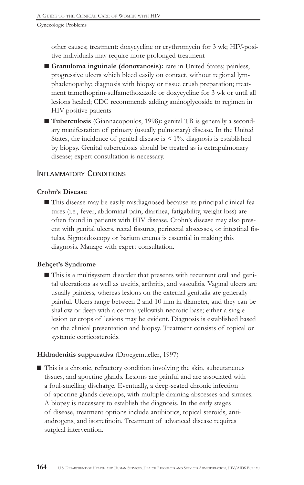other causes; treatment: doxycycline or erythromycin for 3 wk; HIV-positive individuals may require more prolonged treatment

- Granuloma inguinale (donovanosis): rare in United States; painless, progressive ulcers which bleed easily on contact, without regional lymphadenopathy; diagnosis with biopsy or tissue crush preparation; treatment trimethoprim-sulfamethoxazole or doxycycline for 3 wk or until all lesions healed; CDC recommends adding aminoglycoside to regimen in HIV-positive patients
- Tuberculosis (Giannacopoulos, 1998): genital TB is generally a secondary manifestation of primary (usually pulmonary) disease. In the United States, the incidence of genital disease is  $\leq 1\%$ . diagnosis is established by biopsy. Genital tuberculosis should be treated as is extrapulmonary disease; expert consultation is necessary.

### INFLAMMATORY CONDITIONS

### Crohn's Disease

■ This disease may be easily misdiagnosed because its principal clinical features (i.e., fever, abdominal pain, diarrhea, fatigability, weight loss) are often found in patients with HIV disease. Crohn's disease may also present with genital ulcers, rectal fissures, perirectal abscesses, or intestinal fistulas. Sigmoidoscopy or barium enema is essential in making this diagnosis. Manage with expert consultation.

### Behçet's Syndrome

■ This is a multisystem disorder that presents with recurrent oral and genital ulcerations as well as uveitis, arthritis, and vasculitis. Vaginal ulcers are usually painless, whereas lesions on the external genitalia are generally painful. Ulcers range between 2 and 10 mm in diameter, and they can be shallow or deep with a central yellowish necrotic base; either a single lesion or crops of lesions may be evident. Diagnosis is established based on the clinical presentation and biopsy. Treatment consists of topical or systemic corticosteroids.

### Hidradenitis suppurativa (Droegemueller, 1997)

 $\blacksquare$  This is a chronic, refractory condition involving the skin, subcutaneous tissues, and apocrine glands. Lesions are painful and are associated with a foul-smelling discharge. Eventually, a deep-seated chronic infection of apocrine glands develops, with multiple draining abscesses and sinuses. A biopsy is necessary to establish the diagnosis. In the early stages of disease, treatment options include antibiotics, topical steroids, antiandrogens, and isotretinoin. Treatment of advanced disease requires surgical intervention.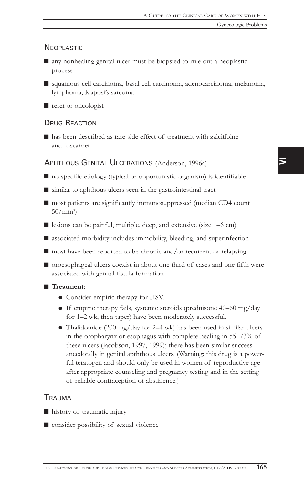### **NEOPLASTIC**

- $\blacksquare$  any nonhealing genital ulcer must be biopsied to rule out a neoplastic process
- squamous cell carcinoma, basal cell carcinoma, adenocarcinoma, melanoma, lymphoma, Kaposi's sarcoma
- $\blacksquare$  refer to oncologist

### DRUG REACTION

 $\blacksquare$  has been described as rare side effect of treatment with zalcitibine and foscarnet

### APHTHOUS GENITAL ULCERATIONS (Anderson, 1996a)

- $\blacksquare$  no specific etiology (typical or opportunistic organism) is identifiable
- $\blacksquare$  similar to aphthous ulcers seen in the gastrointestinal tract
- $\blacksquare$  most patients are significantly immunosuppressed (median CD4 count  $50/mm^3$
- $\blacksquare$  lesions can be painful, multiple, deep, and extensive (size 1–6 cm)
- $\blacksquare$  associated morbidity includes immobility, bleeding, and superinfection
- $\blacksquare$  most have been reported to be chronic and/or recurrent or relapsing
- $\blacksquare$  oroesophageal ulcers coexist in about one third of cases and one fifth were associated with genital fistula formation

### ■ Treatment:

- Consider empiric therapy for HSV.
- $\bullet$  If empiric therapy fails, systemic steroids (prednisone 40–60 mg/day for 1–2 wk, then taper) have been moderately successful.
- Thalidomide (200 mg/day for 2–4 wk) has been used in similar ulcers in the oropharynx or esophagus with complete healing in  $55-73\%$  of these ulcers (Jacobson, 1997, 1999); there has been similar success anecdotally in genital apththous ulcers. (Warning: this drug is a powerful teratogen and should only be used in women of reproductive age after appropriate counseling and pregnancy testing and in the setting of reliable contraception or abstinence.)

### TRAUMA

- history of traumatic injury
- $\blacksquare$  consider possibility of sexual violence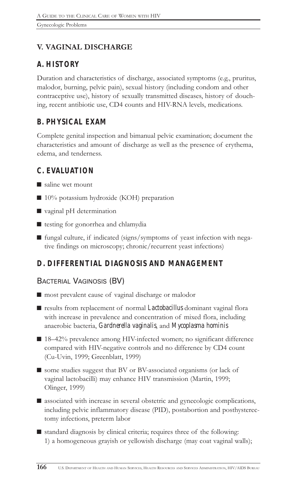# V. VAGINAL DISCHARGE

# *A. HISTORY*

Duration and characteristics of discharge, associated symptoms (e.g., pruritus, malodor, burning, pelvic pain), sexual history (including condom and other contraceptive use), history of sexually transmitted diseases, history of douching, recent antibiotic use, CD4 counts and HIV-RNA levels, medications.

# *B. PHYSICAL EXAM*

Complete genital inspection and bimanual pelvic examination; document the characteristics and amount of discharge as well as the presence of erythema, edema, and tenderness.

## *C. EVALUATION*

- $\blacksquare$  saline wet mount
- $\blacksquare$  10% potassium hydroxide (KOH) preparation
- $\blacksquare$  vaginal pH determination
- $\blacksquare$  testing for gonorrhea and chlamydia
- fungal culture, if indicated (signs/symptoms of yeast infection with negative findings on microscopy; chronic/recurrent yeast infections)

## *D. DIFFERENTIAL DIAGNOSIS AND MANAGEMENT*

## BACTERIAL VAGINOSIS (BV)

- most prevalent cause of vaginal discharge or malodor
- results from replacement of normal *Lactobacillus* dominant vaginal flora with increase in prevalence and concentration of mixed flora, including anaerobic bacteria, *Gardnerella vaginalis*, and *Mycoplasma hominis*
- $\blacksquare$  18–42% prevalence among HIV-infected women; no significant difference compared with HIV-negative controls and no difference by CD4 count (Cu-Uvin, 1999; Greenblatt, 1999)
- some studies suggest that BV or BV-associated organisms (or lack of vaginal lactobacilli) may enhance HIV transmission (Martin, 1999; Olinger, 1999)
- $\blacksquare$  associated with increase in several obstetric and gynecologic complications, including pelvic inflammatory disease (PID), postabortion and posthysterectomy infections, preterm labor
- $\blacksquare$  standard diagnosis by clinical criteria; requires three of the following: 1) a homogeneous grayish or yellowish discharge (may coat vaginal walls);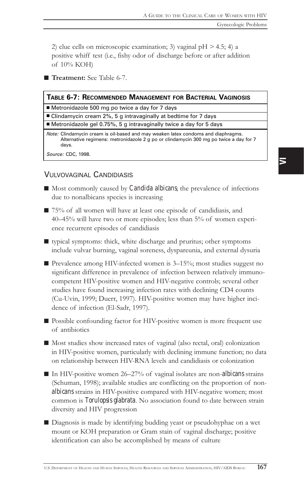2) clue cells on microscopic examination; 3) vaginal  $pH > 4.5$ ; 4) a positive whiff test (i.e., fishy odor of discharge before or after addition of 10% KOH)

Treatment: See Table 6-7.

|  | TABLE 6-7: RECOMMENDED MANAGEMENT FOR BACTERIAL VAGINOSIS |  |
|--|-----------------------------------------------------------|--|
|  |                                                           |  |

■ Metronidazole 500 mg po twice a day for 7 days

 $\blacksquare$  Clindamycin cream 2%, 5 g intravaginally at bedtime for 7 days

■ Metronidazole gel 0.75%, 5 g intravaginally twice a day for 5 days

Note: Clindamycin cream is oil-based and may weaken latex condoms and diaphragms. Alternative regimens: metronidazole 2 g po or clindamycin 300 mg po twice a day for 7 days.

Source: CDC, 1998.

### VULVOVAGINAL CANDIDIASIS

- Most commonly caused by *Candida albicans*; the prevalence of infections due to nonalbicans species is increasing
- $\blacksquare$  75% of all women will have at least one episode of candidiasis, and 4045% will have two or more episodes; less than 5% of women experience recurrent episodes of candidiasis
- typical symptoms: thick, white discharge and pruritus; other symptoms include vulvar burning, vaginal soreness, dyspareunia, and external dysuria
- $\blacksquare$  Prevalence among HIV-infected women is 3–15%; most studies suggest no significant difference in prevalence of infection between relatively immunocompetent HIV-positive women and HIV-negative controls; several other studies have found increasing infection rates with declining CD4 counts (Cu-Uvin, 1999; Duerr, 1997). HIV-positive women may have higher incidence of infection (El-Sadr, 1997).
- Possible confounding factor for HIV-positive women is more frequent use of antibiotics
- Most studies show increased rates of vaginal (also rectal, oral) colonization in HIV-positive women, particularly with declining immune function; no data on relationship between HIV-RNA levels and candidiasis or colonization
- In HIV-positive women 26–27% of vaginal isolates are non-*albicans* strains (Schuman, 1998); available studies are conflicting on the proportion of non*albicans* strains in HIV-positive compared with HIV-negative women; most common is *Torulopsis glabrata*. No association found to date between strain diversity and HIV progression
- Diagnosis is made by identifying budding yeast or pseudohyphae on a wet mount or KOH preparation or Gram stain of vaginal discharge; positive identification can also be accomplished by means of culture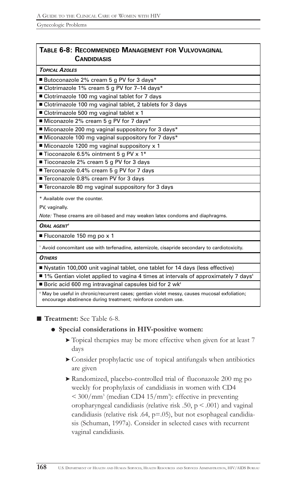### TABLE 6-8: RECOMMENDED MANAGEMENT FOR VULVOVAGINAL **CANDIDIASIS**

| <b>TOPICAL AZOLES</b>                                                                                                                                         |
|---------------------------------------------------------------------------------------------------------------------------------------------------------------|
| ■ Butoconazole 2% cream 5 g PV for 3 days*                                                                                                                    |
| ■ Clotrimazole 1% cream 5 g PV for 7-14 days*                                                                                                                 |
| ■ Clotrimazole 100 mg vaginal tablet for 7 days                                                                                                               |
| ■ Clotrimazole 100 mg vaginal tablet, 2 tablets for 3 days                                                                                                    |
| ■ Clotrimazole 500 mg vaginal tablet x 1                                                                                                                      |
| Miconazole 2% cream 5 g PV for 7 days*                                                                                                                        |
| ■ Miconazole 200 mg vaginal suppository for 3 days*                                                                                                           |
| ■ Miconazole 100 mg vaginal suppository for 7 days*                                                                                                           |
| Miconazole 1200 mg vaginal suppository x 1                                                                                                                    |
| ■ Tioconazole 6.5% ointment 5 g PV x 1*                                                                                                                       |
| ■ Tioconazole 2% cream 5 g PV for 3 days                                                                                                                      |
| ■ Terconazole 0.4% cream 5 g PV for 7 days                                                                                                                    |
| ■ Terconazole 0.8% cream PV for 3 days                                                                                                                        |
| ■ Terconazole 80 mg vaginal suppository for 3 days                                                                                                            |
| * Available over the counter.                                                                                                                                 |
| PV, vaginally.                                                                                                                                                |
| Note: These creams are oil-based and may weaken latex condoms and diaphragms.                                                                                 |
| ORAL AGENT                                                                                                                                                    |
| ■ Fluconazole 150 mg po x 1                                                                                                                                   |
| * Avoid concomitant use with terfenadine, astemizole, cisapride secondary to cardiotoxicity.                                                                  |
| <b>OTHERS</b>                                                                                                                                                 |
| ■ Nystatin 100,000 unit vaginal tablet, one tablet for 14 days (less effective)                                                                               |
| ■ 1% Gentian violet applied to vagina 4 times at intervals of approximately 7 days <sup>*</sup>                                                               |
| ■ Boric acid 600 mg intravaginal capsules bid for 2 wk <sup>+</sup>                                                                                           |
| * May be useful in chronic/recurrent cases; gentian violet messy, causes mucosal exfoliation;<br>encourage abstinence during treatment; reinforce condom use. |

■ Treatment: See Table 6-8.

### • Special considerations in HIV-positive women:

- > Topical therapies may be more effective when given for at least 7 days
- > Consider prophylactic use of topical antifungals when antibiotics are given
- > Randomized, placebo-controlled trial of fluconazole 200 mg po weekly for prophylaxis of candidiasis in women with CD4  $<$  300/mm<sup>3</sup> (median CD4 15/mm<sup>3</sup>): effective in preventing oropharyngeal candidiasis (relative risk .50,  $p < .001$ ) and vaginal candidiasis (relative risk .64,  $p=0.05$ ), but not esophageal candidiasis (Schuman, 1997a). Consider in selected cases with recurrent vaginal candidiasis.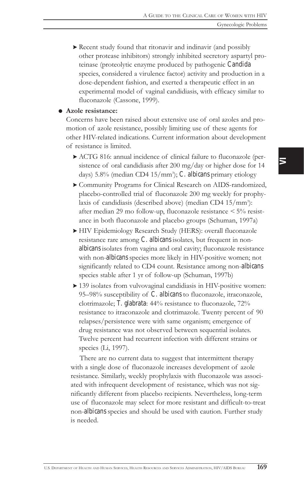> Recent study found that ritonavir and indinavir (and possibly other protease inhibitors) strongly inhibited secretory aspartyl proteinase (proteolytic enzyme produced by pathogenic *Candida* species, considered a virulence factor) activity and production in a dose-dependent fashion, and exerted a therapeutic effect in an experimental model of vaginal candidiasis, with efficacy similar to fluconazole (Cassone, 1999).

#### **Azole resistance:**

Concerns have been raised about extensive use of oral azoles and promotion of azole resistance, possibly limiting use of these agents for other HIV-related indications. Current information about development of resistance is limited.

- > ACTG 816: annual incidence of clinical failure to fluconazole (persistence of oral candidiasis after 200 mg/day or higher dose for 14 days) 5.8% (median CD4 15/mm<sup>3</sup>); *C. albicans* primary etiology
- > Community Programs for Clinical Research on AIDS-randomized, placebo-controlled trial of fluconazole 200 mg weekly for prophylaxis of candidiasis (described above) (median CD4 15/mm<sup>3</sup>): after median 29 mo follow-up, fluconazole resistance < 5% resistance in both fluconazole and placebo groups (Schuman, 1997a)
- > HIV Epidemiology Research Study (HERS): overall fluconazole resistance rare among *C. albicans* isolates, but frequent in non*albicans* isolates from vagina and oral cavity; fluconazole resistance with non-*albicans* species more likely in HIV-positive women; not significantly related to CD4 count. Resistance among non-*albicans* species stable after 1 yr of follow-up (Schuman, 1997b)
- > 139 isolates from vulvovaginal candidiasis in HIV-positive women: 95-98% susceptibility of *C. albicans* to fluconazole, itraconazole, clotrimazole; *T. glabrata*: 44% resistance to fluconazole, 72% resistance to itraconazole and clotrimazole. Twenty percent of 90 relapses/persistence were with same organism; emergence of drug resistance was not observed between sequential isolates. Twelve percent had recurrent infection with different strains or species (Li, 1997).

There are no current data to suggest that intermittent therapy with a single dose of fluconazole increases development of azole resistance. Similarly, weekly prophylaxis with fluconazole was associated with infrequent development of resistance, which was not significantly different from placebo recipients. Nevertheless, long-term use of fluconazole may select for more resistant and difficult-to-treat non-*albicans* species and should be used with caution. Further study is needed.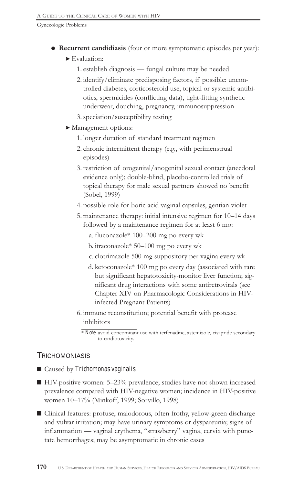- ! Recurrent candidiasis (four or more symptomatic episodes per year):
	- > Evaluation:
		- 1. establish diagnosis fungal culture may be needed
		- 2. identify/eliminate predisposing factors, if possible: uncontrolled diabetes, corticosteroid use, topical or systemic antibiotics, spermicides (conflicting data), tight-fitting synthetic underwear, douching, pregnancy, immunosuppression
		- 3. speciation/susceptibility testing
	- > Management options:
		- 1. longer duration of standard treatment regimen
		- 2. chronic intermittent therapy (e.g., with perimenstrual episodes)
		- 3. restriction of orogenital/anogenital sexual contact (anecdotal evidence only); double-blind, placebo-controlled trials of topical therapy for male sexual partners showed no benefit (Sobel, 1999)
		- 4. possible role for boric acid vaginal capsules, gentian violet
		- 5. maintenance therapy: initial intensive regimen for 10–14 days followed by a maintenance regimen for at least 6 mo:
			- a. fluconazole\* 100–200 mg po every wk
			- b. itraconazole $* 50-100$  mg po every wk
			- c. clotrimazole 500 mg suppository per vagina every wk
			- d. ketoconazole\* 100 mg po every day (associated with rare but significant hepatotoxicity-monitor liver function; significant drug interactions with some antiretrovirals (see Chapter XIV on Pharmacologic Considerations in HIVinfected Pregnant Patients)
		- 6. immune reconstitution; potential benefit with protease inhibitors

### **TRICHOMONIASIS**

■ Caused by *Trichomonas vaginalis* 

- $\blacksquare$  HIV-positive women: 5-23% prevalence; studies have not shown increased prevalence compared with HIV-negative women; incidence in HIV-positive women 10-17% (Minkoff, 1999; Sorvillo, 1998)
- Clinical features: profuse, malodorous, often frothy, yellow-green discharge and vulvar irritation; may have urinary symptoms or dyspareunia; signs of inflammation — vaginal erythema, "strawberry" vagina, cervix with punctate hemorrhages; may be asymptomatic in chronic cases

<sup>\*</sup> *Note*: avoid concomitant use with terfenadine, astemizole, cisapride secondary to cardiotoxicity.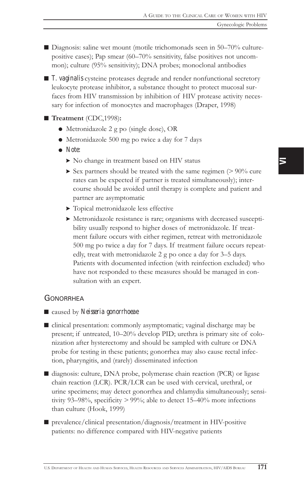$\blacksquare$  Diagnosis: saline wet mount (motile trichomonads seen in 50-70% culturepositive cases); Pap smear (60-70% sensitivity, false positives not uncommon); culture (95% sensitivity); DNA probes; monoclonal antibodies

■ *T. vaginalis* cysteine proteases degrade and render nonfunctional secretory leukocyte protease inhibitor, a substance thought to protect mucosal surfaces from HIV transmission by inhibition of HIV protease activity necessary for infection of monocytes and macrophages (Draper, 1998)

#### ■ Treatment (CDC,1998):

- ! Metronidazole 2 g po (single dose), OR
- ! Metronidazole 500 mg po twice a day for 7 days
- ! *Note:*
	- > No change in treatment based on HIV status
	- $\triangleright$  Sex partners should be treated with the same regimen ( $> 90\%$  cure rates can be expected if partner is treated simultaneously); intercourse should be avoided until therapy is complete and patient and partner are asymptomatic
	- > Topical metronidazole less effective
	- > Metronidazole resistance is rare; organisms with decreased susceptibility usually respond to higher doses of metronidazole. If treatment failure occurs with either regimen, retreat with metronidazole 500 mg po twice a day for 7 days. If treatment failure occurs repeatedly, treat with metronidazole  $2$  g po once a day for  $3-5$  days. Patients with documented infection (with reinfection excluded) who have not responded to these measures should be managed in consultation with an expert.

#### **GONORRHEA**

■ caused by *Neisseria gonorrhoeae* 

■ clinical presentation: commonly asymptomatic; vaginal discharge may be present; if untreated, 10–20% develop PID; urethra is primary site of colonization after hysterectomy and should be sampled with culture or DNA probe for testing in these patients; gonorrhea may also cause rectal infection, pharyngitis, and (rarely) disseminated infection

■ diagnosis: culture, DNA probe, polymerase chain reaction (PCR) or ligase chain reaction (LCR). PCR/LCR can be used with cervical, urethral, or urine specimens; may detect gonorrhea and chlamydia simultaneously; sensitivity 93-98%, specificity  $>$  99%; able to detect 15-40% more infections than culture (Hook, 1999)

■ prevalence/clinical presentation/diagnosis/treatment in HIV-positive patients: no difference compared with HIV-negative patients

 $\overline{\phantom{0}}$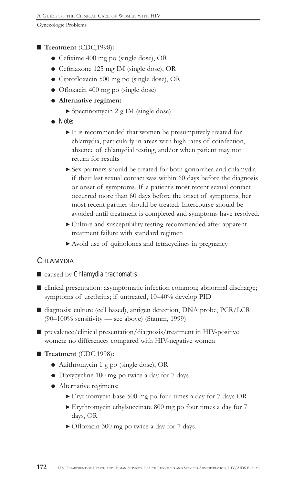### ■ Treatment (CDC,1998):

- Cefixime 400 mg po (single dose), OR
- ! Ceftriaxone 125 mg IM (single dose), OR
- ! Ciprofloxacin 500 mg po (single dose), OR
- Ofloxacin 400 mg po (single dose).
- $\bullet$  Alternative regimen:
	- > Spectinomycin 2 g IM (single dose)
- ! *Note:*
	- > It is recommended that women be presumptively treated for chlamydia, particularly in areas with high rates of coinfection, absence of chlamydial testing, and/or when patient may not return for results
	- > Sex partners should be treated for both gonorrhea and chlamydia if their last sexual contact was within 60 days before the diagnosis or onset of symptoms. If a patient's most recent sexual contact occurred more than 60 days before the onset of symptoms, her most recent partner should be treated. Intercourse should be avoided until treatment is completed and symptoms have resolved.
	- > Culture and susceptibility testing recommended after apparent treatment failure with standard regimen
	- > Avoid use of quinolones and tetracyclines in pregnancy

### CHI AMYDIA

### ■ caused by *Chlamydia trachomatis*

- clinical presentation: asymptomatic infection common; abnormal discharge; symptoms of urethritis; if untreated, 10-40% develop PID
- diagnosis: culture (cell based), antigen detection, DNA probe, PCR/LCR  $(90-100\%$  sensitivity — see above) (Stamm, 1999)
- $\blacksquare$  prevalence/clinical presentation/diagnosis/treatment in HIV-positive women: no differences compared with HIV-negative women

### ■ Treatment (CDC,1998):

- ! Azithromycin 1 g po (single dose), OR
- ! Doxycycline 100 mg po twice a day for 7 days
- Alternative regimens:
	- > Erythromycin base 500 mg po four times a day for 7 days OR
	- > Erythromycin ethylsuccinate 800 mg po four times a day for 7 days, OR
	- > Ofloxacin 300 mg po twice a day for 7 days.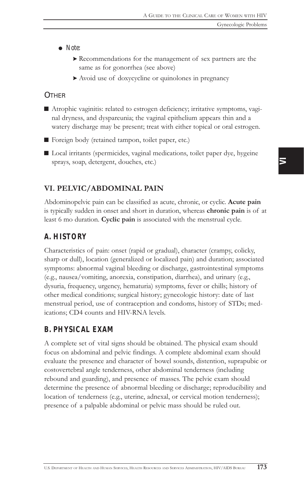- ! *Note:*
	- > Recommendations for the management of sex partners are the same as for gonorrhea (see above)
	- > Avoid use of doxycycline or quinolones in pregnancy

### **OTHER**

- Atrophic vaginitis: related to estrogen deficiency; irritative symptoms, vaginal dryness, and dyspareunia; the vaginal epithelium appears thin and a watery discharge may be present; treat with either topical or oral estrogen.
- Foreign body (retained tampon, toilet paper, etc.)
- Local irritants (spermicides, vaginal medications, toilet paper dye, hygeine sprays, soap, detergent, douches, etc.)

### VI. PELVIC/ABDOMINAL PAIN

Abdominopelvic pain can be classified as acute, chronic, or cyclic. Acute pain is typically sudden in onset and short in duration, whereas chronic pain is of at least 6 mo duration. Cyclic pain is associated with the menstrual cycle.

### *A. HISTORY*

Characteristics of pain: onset (rapid or gradual), character (crampy, colicky, sharp or dull), location (generalized or localized pain) and duration; associated symptoms: abnormal vaginal bleeding or discharge, gastrointestinal symptoms (e.g., nausea/vomiting, anorexia, constipation, diarrhea), and urinary (e.g., dysuria, frequency, urgency, hematuria) symptoms, fever or chills; history of other medical conditions; surgical history; gynecologic history: date of last menstrual period, use of contraception and condoms, history of STDs; medications; CD4 counts and HIV-RNA levels.

## *B. PHYSICAL EXAM*

A complete set of vital signs should be obtained. The physical exam should focus on abdominal and pelvic findings. A complete abdominal exam should evaluate the presence and character of bowel sounds, distention, suprapubic or costovertebral angle tenderness, other abdominal tenderness (including rebound and guarding), and presence of masses. The pelvic exam should determine the presence of abnormal bleeding or discharge; reproducibility and location of tenderness (e.g., uterine, adnexal, or cervical motion tenderness); presence of a palpable abdominal or pelvic mass should be ruled out.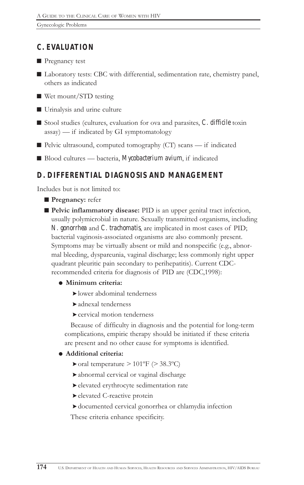## *C. EVALUATION*

 $\blacksquare$  Pregnancy test

- Laboratory tests: CBC with differential, sedimentation rate, chemistry panel, others as indicated
- $\blacksquare$  Wet mount/STD testing
- $\blacksquare$  Urinalysis and urine culture
- Stool studies (cultures, evaluation for ova and parasites, *C. difficile* toxin  $\text{assay}$ ) — if indicated by GI symptomatology
- $\blacksquare$  Pelvic ultrasound, computed tomography (CT) scans if indicated
- Blood cultures bacteria, *Mycobacterium avium*, if indicated

## *D. DIFFERENTIAL DIAGNOSIS AND MANAGEMENT*

Includes but is not limited to:

- **Pregnancy:** refer
- Pelvic inflammatory disease: PID is an upper genital tract infection, usually polymicrobial in nature. Sexually transmitted organisms, including *N. gonorrhea* and *C. trachomatis*, are implicated in most cases of PID; bacterial vaginosis-associated organisms are also commonly present. Symptoms may be virtually absent or mild and nonspecific (e.g., abnormal bleeding, dyspareunia, vaginal discharge; less commonly right upper quadrant pleuritic pain secondary to perihepatitis). Current CDCrecommended criteria for diagnosis of PID are (CDC,1998):

### $\bullet$  Minimum criteria:

- >lower abdominal tenderness
- >adnexal tenderness
- >cervical motion tenderness

Because of difficulty in diagnosis and the potential for long-term complications, empiric therapy should be initiated if these criteria are present and no other cause for symptoms is identified.

### $\bullet$  Additional criteria:

- $\triangleright$  oral temperature  $> 101^{\circ}$ F ( $> 38.3^{\circ}$ C)
- >abnormal cervical or vaginal discharge
- >elevated erythrocyte sedimentation rate
- >elevated C-reactive protein
- >documented cervical gonorrhea or chlamydia infection

These criteria enhance specificity.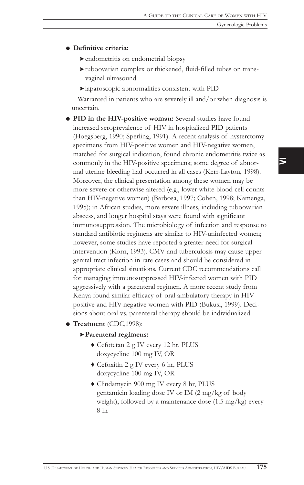#### **.** Definitive criteria:

- >endometritis on endometrial biopsy
- >tuboovarian complex or thickened, fluid-filled tubes on transvaginal ultrasound
- >laparoscopic abnormalities consistent with PID

Warranted in patients who are severely ill and/or when diagnosis is uncertain.

- ! PID in the HIV-positive woman: Several studies have found increased seroprevalence of HIV in hospitalized PID patients (Hoegsberg, 1990; Sperling, 1991). A recent analysis of hysterctomy specimens from HIV-positive women and HIV-negative women, matched for surgical indication, found chronic endometritis twice as commonly in the HIV-positive specimens; some degree of abnormal uterine bleeding had occurred in all cases (Kerr-Layton, 1998). Moreover, the clinical presentation among these women may be more severe or otherwise altered (e.g., lower white blood cell counts than HIV-negative women) (Barbosa, 1997; Cohen, 1998; Kamenga, 1995); in African studies, more severe illness, including tuboovarian abscess, and longer hospital stays were found with significant immunosuppression. The microbiology of infection and response to standard antibiotic regimens are similar to HIV-uninfected women; however, some studies have reported a greater need for surgical intervention (Korn, 1993). CMV and tuberculosis may cause upper genital tract infection in rare cases and should be considered in appropriate clinical situations. Current CDC recommendations call for managing immunosuppressed HIV-infected women with PID aggressively with a parenteral regimen. A more recent study from Kenya found similar efficacy of oral ambulatory therapy in HIVpositive and HIV-negative women with PID (Bukusi, 1999). Decisions about oral vs. parenteral therapy should be individualized.
- **Treatment** (CDC,1998):
	- >Parenteral regimens:
		- 6 Cefotetan 2 g IV every 12 hr, PLUS doxycycline 100 mg IV, OR
		- 6 Cefoxitin 2 g IV every 6 hr, PLUS doxycycline 100 mg IV, OR
		- 6 Clindamycin 900 mg IV every 8 hr, PLUS gentamicin loading dose IV or IM (2 mg/kg of body weight), followed by a maintenance dose (1.5 mg/kg) every 8 hr

 $\overline{\phantom{0}}$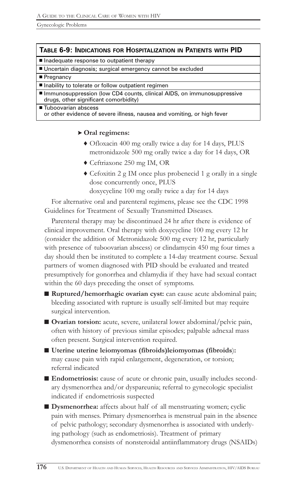#### TABLE 6-9: INDICATIONS FOR HOSPITALIZATION IN PATIENTS WITH PID

Inadequate response to outpatient therapy

■ Uncertain diagnosis; surgical emergency cannot be excluded

#### ■ Pregnancy

■ Inability to tolerate or follow outpatient regimen

■ Immunosuppression (low CD4 counts, clinical AIDS, on immunosuppressive drugs, other significant comorbidity)

■ Tuboovarian abscess or other evidence of severe illness, nausea and vomiting, or high fever

#### > Oral regimens:

- 6 Ofloxacin 400 mg orally twice a day for 14 days, PLUS metronidazole 500 mg orally twice a day for 14 days, OR
- 6 Ceftriaxone 250 mg IM, OR
- $\triangle$  Cefoxitin 2 g IM once plus probenecid 1 g orally in a single dose concurrently once, PLUS

doxycycline 100 mg orally twice a day for 14 days

For alternative oral and parenteral regimens, please see the CDC 1998 Guidelines for Treatment of Sexually Transmitted Diseases.

Parenteral therapy may be discontinued 24 hr after there is evidence of clinical improvement. Oral therapy with doxycycline 100 mg every 12 hr (consider the addition of Metronidazole 500 mg every 12 hr, particularly with presence of tuboovarian abscess) or clindamycin 450 mg four times a day should then be instituted to complete a 14-day treatment course. Sexual partners of women diagnosed with PID should be evaluated and treated presumptively for gonorrhea and chlamydia if they have had sexual contact within the 60 days preceding the onset of symptoms.

- $\blacksquare$  Ruptured/hemorrhagic ovarian cyst: can cause acute abdominal pain; bleeding associated with rupture is usually self-limited but may require surgical intervention.
- Ovarian torsion: acute, severe, unilateral lower abdominal/pelvic pain, often with history of previous similar episodes; palpable adnexal mass often present. Surgical intervention required.
- Uterine uterine leiomyomas (fibroids)leiomyomas (fibroids): may cause pain with rapid enlargement, degeneration, or torsion; referral indicated
- Endometriosis: cause of acute or chronic pain, usually includes secondary dysmenorrhea and/or dyspareunia; referral to gynecologic specialist indicated if endometriosis suspected
- Dysmenorrhea: affects about half of all menstruating women; cyclic pain with menses. Primary dysmenorrhea is menstrual pain in the absence of pelvic pathology; secondary dysmenorrhea is associated with underlying pathology (such as endometriosis). Treatment of primary dysmenorrhea consists of nonsteroidal antiinflammatory drugs (NSAIDs)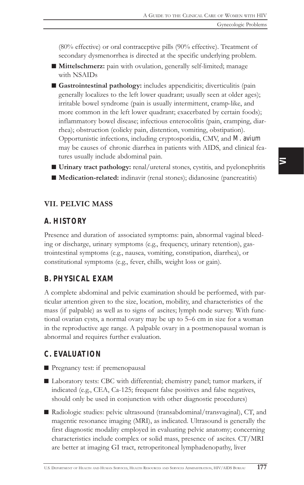(80% effective) or oral contraceptive pills (90% effective). Treatment of secondary dysmenorrhea is directed at the specific underlying problem.

- Mittelschmerz: pain with ovulation, generally self-limited; manage with NSAIDs
- Gastrointestinal pathology: includes appendicitis; diverticulitis (pain generally localizes to the left lower quadrant; usually seen at older ages); irritable bowel syndrome (pain is usually intermittent, cramp-like, and more common in the left lower quadrant; exacerbated by certain foods); inflammatory bowel disease; infectious enterocolitis (pain, cramping, diarrhea); obstruction (colicky pain, distention, vomiting, obstipation). Opportunistic infections, including cryptosporidia, CMV, and *M. avium* may be causes of chronic diarrhea in patients with AIDS, and clinical features usually include abdominal pain.
- $\blacksquare$  Urinary tract pathology: renal/ureteral stones, cystitis, and pyelonephritis
- Medication-related: indinavir (renal stones); didanosine (pancreatitis)

### VII. PELVIC MASS

### *A. HISTORY*

Presence and duration of associated symptoms: pain, abnormal vaginal bleeding or discharge, urinary symptoms (e.g., frequency, urinary retention), gastrointestinal symptoms (e.g., nausea, vomiting, constipation, diarrhea), or constitutional symptoms (e.g., fever, chills, weight loss or gain).

### *B. PHYSICAL EXAM*

A complete abdominal and pelvic examination should be performed, with particular attention given to the size, location, mobility, and characteristics of the mass (if palpable) as well as to signs of ascites; lymph node survey. With functional ovarian cysts, a normal ovary may be up to 5–6 cm in size for a woman in the reproductive age range. A palpable ovary in a postmenopausal woman is abnormal and requires further evaluation.

### *C. EVALUATION*

■ Pregnancy test: if premenopausal

- Laboratory tests: CBC with differential; chemistry panel; tumor markers, if indicated (e.g., CEA, Ca-125; frequent false positives and false negatives, should only be used in conjunction with other diagnostic procedures)
- Radiologic studies: pelvic ultrasound (transabdominal/transvaginal), CT, and magentic resonance imaging (MRI), as indicated. Ultrasound is generally the first diagnostic modality employed in evaluating pelvic anatomy; concerning characteristics include complex or solid mass, presence of ascites. CT/MRI are better at imaging GI tract, retroperitoneal lymphadenopathy, liver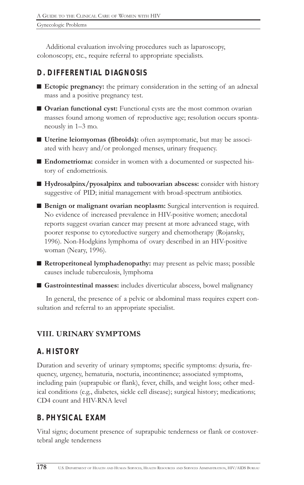Additional evaluation involving procedures such as laparoscopy, colonoscopy, etc., require referral to appropriate specialists.

# *D. DIFFERENTIAL DIAGNOSIS*

- $\blacksquare$  Ectopic pregnancy: the primary consideration in the setting of an adnexal mass and a positive pregnancy test.
- Ovarian functional cyst: Functional cysts are the most common ovarian masses found among women of reproductive age; resolution occurs spontaneously in 1-3 mo.
- Uterine leiomyomas (fibroids): often asymptomatic, but may be associated with heavy and/or prolonged menses, urinary frequency.
- Endometrioma: consider in women with a documented or suspected history of endometriosis.
- $\blacksquare$  Hydrosalpinx/pyosalpinx and tuboovarian abscess: consider with history suggestive of PID; initial management with broad-spectrum antibiotics.
- Benign or malignant ovarian neoplasm: Surgical intervention is required. No evidence of increased prevalence in HIV-positive women; anecdotal reports suggest ovarian cancer may present at more advanced stage, with poorer response to cytoreductive surgery and chemotherapy (Rojansky, 1996). Non-Hodgkins lymphoma of ovary described in an HIV-positive woman (Neary, 1996).
- $\blacksquare$  Retroperitoneal lymphadenopathy: may present as pelvic mass; possible causes include tuberculosis, lymphoma
- Gastrointestinal masses: includes diverticular abscess, bowel malignancy

In general, the presence of a pelvic or abdominal mass requires expert consultation and referral to an appropriate specialist.

# VIII. URINARY SYMPTOMS

# *A. HISTORY*

Duration and severity of urinary symptoms; specific symptoms: dysuria, frequency, urgency, hematuria, nocturia, incontinence; associated symptoms, including pain (suprapubic or flank), fever, chills, and weight loss; other medical conditions (e.g., diabetes, sickle cell disease); surgical history; medications; CD4 count and HIV-RNA level

# *B. PHYSICAL EXAM*

Vital signs; document presence of suprapubic tenderness or flank or costovertebral angle tenderness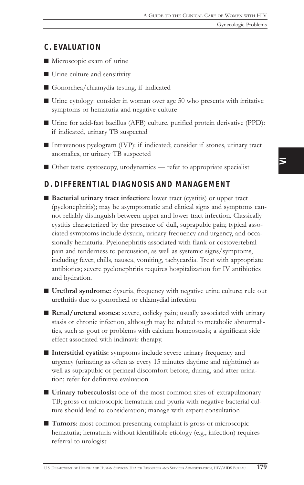### *C. EVALUATION*

- $\blacksquare$  Microscopic exam of urine
- $\blacksquare$  Urine culture and sensitivity
- Gonorrhea/chlamydia testing, if indicated
- $\blacksquare$  Urine cytology: consider in woman over age 50 who presents with irritative symptoms or hematuria and negative culture
- Urine for acid-fast bacillus (AFB) culture, purified protein derivative (PPD): if indicated, urinary TB suspected
- $\blacksquare$  Intravenous pyelogram (IVP): if indicated; consider if stones, urinary tract anomalies, or urinary TB suspected
- Other tests: cystoscopy, urodynamics refer to appropriate specialist

### *D. DIFFERENTIAL DIAGNOSIS AND MANAGEMENT*

- Bacterial urinary tract infection: lower tract (cystitis) or upper tract (pyelonephritis); may be asymptomatic and clinical signs and symptoms cannot reliably distinguish between upper and lower tract infection. Classically cystitis characterized by the presence of dull, suprapubic pain; typical associated symptoms include dysuria, urinary frequency and urgency, and occasionally hematuria. Pyelonephritis associated with flank or costovertebral pain and tenderness to percussion, as well as systemic signs/symptoms, including fever, chills, nausea, vomiting, tachycardia. Treat with appropriate antibiotics; severe pyelonephritis requires hospitalization for IV antibiotics and hydration.
- Urethral syndrome: dysuria, frequency with negative urine culture; rule out urethritis due to gonorrheal or chlamydial infection
- Renal/ureteral stones: severe, colicky pain; usually associated with urinary stasis or chronic infection, although may be related to metabolic abnormalities, such as gout or problems with calcium homeostasis; a significant side effect associated with indinavir therapy.
- $\blacksquare$  Interstitial cystitis: symptoms include severe urinary frequency and urgency (urinating as often as every 15 minutes daytime and nighttime) as well as suprapubic or perineal discomfort before, during, and after urination; refer for definitive evaluation
- $\blacksquare$  Urinary tuberculosis: one of the most common sites of extrapulmonary TB; gross or microscopic hematuria and pyuria with negative bacterial culture should lead to consideration; manage with expert consultation
- Tumors: most common presenting complaint is gross or microscopic hematuria; hematuria without identifiable etiology (e.g., infection) requires referral to urologist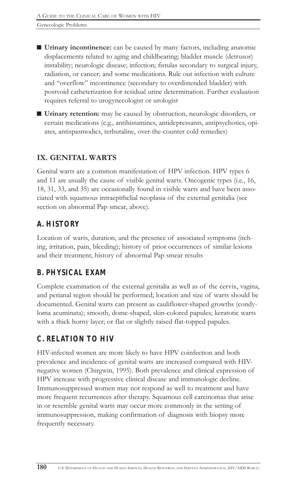- Urinary incontinence: can be caused by many factors, including anatomic displacements related to aging and childbearing; bladder muscle (detrusor) instability; neurologic disease; infection; fistulas secondary to surgical injury, radiation, or cancer; and some medications. Rule out infection with culture and "overflow" incontinence (secondary to overdistended bladder) with postvoid catheterization for residual urine determination. Further evaluation requires referral to urogynecologist or urologist
- Urinary retention: may be caused by obstruction, neurologic disorders, or certain medications (e.g., antihistamines, antidepressants, antipsychotics, opiates, antispasmodics, terbutaline, over-the-counter cold remedies)

## IX. GENITAL WARTS

Genital warts are a common manifestation of HPV infection. HPV types 6 and 11 are usually the cause of visible genital warts. Oncogenic types (i.e., 16, 18, 31, 33, and 35) are occasionally found in visible warts and have been associated with squamous intraepithelial neoplasia of the external genitalia (see section on abnormal Pap smear, above).

# *A. HISTORY*

Location of warts, duration, and the presence of associated symptoms (itching, irritation, pain, bleeding); history of prior occurrences of similar lesions and their treatment; history of abnormal Pap smear results

# *B. PHYSICAL EXAM*

Complete examination of the external genitalia as well as of the cervix, vagina, and perianal region should be performed; location and size of warts should be documented. Genital warts can present as cauliflower-shaped growths (condyloma acuminata); smooth, dome-shaped, skin-colored papules; keratotic warts with a thick horny layer; or flat or slightly raised flat-topped papules.

# *C. RELATION TO HIV*

HIV-infected women are more likely to have HPV coinfection and both prevalence and incidence of genital warts are increased compared with HIVnegative women (Chirgwin, 1995). Both prevalence and clinical expression of HPV increase with progressive clinical disease and immunologic decline. Immunosuppressed women may not respond as well to treatment and have more frequent recurrences after therapy. Squamous cell carcinomas that arise in or resemble genital warts may occur more commonly in the setting of immunosuppression, making confirmation of diagnosis with biopsy more frequently necessary.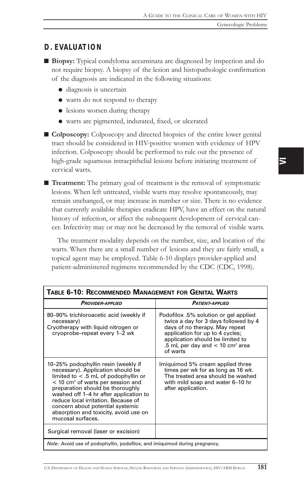### *D. EVALUATION*

- Biopsy: Typical condyloma accuminata are diagnosed by inspection and do not require biopsy. A biopsy of the lesion and histopathologic confirmation of the diagnosis are indicated in the following situations:
	- $\bullet$  diagnosis is uncertain
	- ! warts do not respond to therapy
	- lesions worsen during therapy
	- ! warts are pigmented, indurated, fixed, or ulcerated

■ Colposcopy: Colposcopy and directed biopsies of the entire lower genital tract should be considered in HIV-positive women with evidence of HPV infection. Colposcopy should be performed to rule out the presence of high-grade squamous intraepithelial lesions before initiating treatment of cervical warts.

 $\blacksquare$  Treatment: The primary goal of treatment is the removal of symptomatic lesions. When left untreated, visible warts may resolve spontaneously, may remain unchanged, or may increase in number or size. There is no evidence that currently available therapies eradicate HPV, have an effect on the natural history of infection, or affect the subsequent development of cervical cancer. Infectivity may or may not be decreased by the removal of visible warts.

The treatment modality depends on the number, size, and location of the warts. When there are a small number of lesions and they are fairly small, a topical agent may be employed. Table 6-10 displays provider-applied and patient-administered regimens recommended by the CDC (CDC, 1998).

| Table 6-10: Recommended Management for Genital Warts                                                                                                                                                                                                                                                                                                                                         |                                                                                                                                                                                                                                                     |  |
|----------------------------------------------------------------------------------------------------------------------------------------------------------------------------------------------------------------------------------------------------------------------------------------------------------------------------------------------------------------------------------------------|-----------------------------------------------------------------------------------------------------------------------------------------------------------------------------------------------------------------------------------------------------|--|
| <b>PROVIDER-APPLIED</b>                                                                                                                                                                                                                                                                                                                                                                      | <b>PATIENT-APPLIED</b>                                                                                                                                                                                                                              |  |
| 80-90% trichloroacetic acid (weekly if<br>necessary)<br>Cryotherapy with liquid nitrogen or<br>cryoprobe-repeat every 1-2 wk                                                                                                                                                                                                                                                                 | Podofilox .5% solution or gel applied<br>twice a day for 3 days followed by 4<br>days of no therapy. May repeat<br>application for up to 4 cycles;<br>application should be limited to<br>.5 mL per day and $<$ 10 cm <sup>2</sup> area<br>of warts |  |
| 10-25% podophyllin resin (weekly if<br>necessary). Application should be<br>limited to $<$ .5 mL of podophyllin or<br>$<$ 10 cm <sup>2</sup> of warts per session and<br>preparation should be thoroughly<br>washed off 1-4 hr after application to<br>reduce local irritation. Because of<br>concern about potential systemic<br>absorption and toxicity, avoid use on<br>mucosal surfaces. | Imiguimod 5% cream applied three<br>times per wk for as long as 16 wk.<br>The treated area should be washed<br>with mild soap and water 6-10 hr<br>after application.                                                                               |  |
| Surgical removal (laser or excision)                                                                                                                                                                                                                                                                                                                                                         |                                                                                                                                                                                                                                                     |  |
| <i>Note:</i> Avoid use of podophyllin, podofilox, and imiquimod during pregnancy.                                                                                                                                                                                                                                                                                                            |                                                                                                                                                                                                                                                     |  |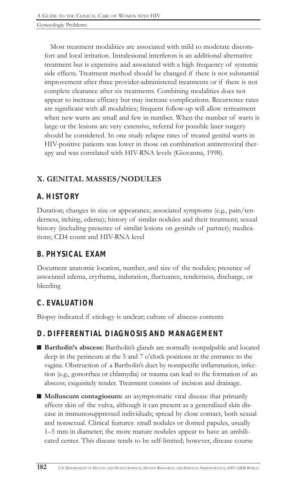Most treatment modalities are associated with mild to moderate discomfort and local irritation. Intralesional interferon is an additional alternative treatment but is expensive and associated with a high frequency of systemic side effects. Treatment method should be changed if there is not substantial improvement after three provider-administered treatments or if there is not complete clearance after six treatments. Combining modalities does not appear to increase efficacy but may increase complications. Recurrence rates are significant with all modalities; frequent follow-up will allow retreatment when new warts are small and few in number. When the number of warts is large or the lesions are very extensive, referral for possible laser surgery should be considered. In one study relapse rates of treated genital warts in HIV-positive patients was lower in those on combination antiretroviral therapy and was correlated with HIV-RNA levels (Giovanna, 1998).

## X. GENITAL MASSES/NODULES

## *A. HISTORY*

Duration; changes in size or appearance; associated symptoms (e.g., pain/tenderness, itching, edema); history of similar nodules and their treatment; sexual history (including presence of similar lesions on genitals of partner); medications; CD4 count and HIV-RNA level

## *B. PHYSICAL EXAM*

Document anatomic location, number, and size of the nodules; presence of associated edema, erythema, induration, fluctuance, tenderness, discharge, or bleeding

# *C. EVALUATION*

Biopsy indicated if etiology is unclear; culture of abscess contents

## *D. DIFFERENTIAL DIAGNOSIS AND MANAGEMENT*

- Bartholin's abscess: Bartholin's glands are normally nonpalpable and located deep in the perineum at the 5 and 7 o'clock positions in the entrance to the vagina. Obstruction of a Bartholin's duct by nonspecific inflammation, infection (e.g., gonorrhea or chlamydia) or trauma can lead to the formation of an abscess; exquisitely tender. Treatment consists of incision and drainage.
- Molluscum contagiosum: an asymptomatic viral disease that primarily affects skin of the vulva, although it can present as a generalized skin disease in immunosuppressed individuals; spread by close contact, both sexual and nonsexual. Clinical features: small nodules or domed papules, usually 15 mm in diameter; the more mature nodules appear to have an umbilicated center. This disease tends to be self-limited; however, disease course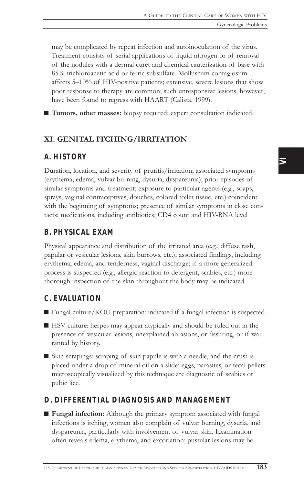may be complicated by repeat infection and autoinoculation of the virus. Treatment consists of serial applications of liquid nitrogen or of removal of the nodules with a dermal curet and chemical cauterization of base with 85% trichloroacetic acid or ferric subsulfate. Molluscum contagiosum affects 5-10% of HIV-positive patients; extensive, severe lesions that show poor response to therapy are common; such unresponsive lesions, however, have been found to regress with HAART (Calista, 1999).

■ Tumors, other masses: biopsy required; expert consultation indicated.

### XI. GENITAL ITCHING/IRRITATION

### *A. HISTORY*

Duration, location, and severity of pruritis/irritation; associated symptoms (erythema, edema, vulvar burning, dysuria, dyspareunia); prior episodes of similar symptoms and treatment; exposure to particular agents (e.g., soaps, sprays, vaginal contraceptives, douches, colored toilet tissue, etc.) coincident with the beginning of symptoms; presence of similar symptoms in close contacts; medications, including antibiotics; CD4 count and HIV-RNA level

### *B. PHYSICAL EXAM*

Physical appearance and distribution of the irritated area (e.g., diffuse rash, papular or vesicular lesions, skin burrows, etc.); associated findings, including erythema, edema, and tenderness, vaginal discharge; if a more generalized process is suspected (e.g., allergic reaction to detergent, scabies, etc.) more thorough inspection of the skin throughout the body may be indicated.

### *C. EVALUATION*

- $\blacksquare$  Fungal culture/KOH preparation: indicated if a fungal infection is suspected.
- HSV culture: herpes may appear atypically and should be ruled out in the presence of vesicular lesions, unexplained abrasions, or fissuring, or if warranted by history.
- $\blacksquare$  Skin scrapings: scraping of skin papule is with a needle, and the crust is placed under a drop of mineral oil on a slide; eggs, parasites, or fecal pellets microscopically visualized by this technique are diagnostic of scabies or pubic lice.

## *D. DIFFERENTIAL DIAGNOSIS AND MANAGEMENT*

■ Fungal infection: Although the primary symptom associated with fungal infections is itching, women also complain of vulvar burning, dysuria, and dyspareunia, particularly with involvement of vulvar skin. Examination often reveals edema, erythema, and excoriation; pustular lesions may be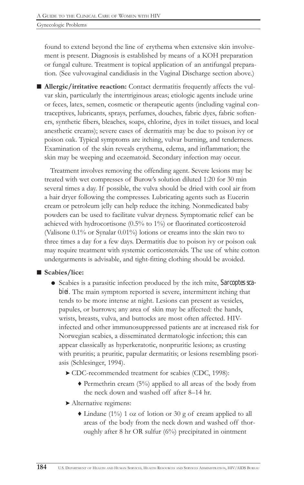found to extend beyond the line of erythema when extensive skin involvement is present. Diagnosis is established by means of a KOH preparation or fungal culture. Treatment is topical application of an antifungal preparation. (See vulvovaginal candidiasis in the Vaginal Discharge section above.)

■ Allergic/irritative reaction: Contact dermatitis frequently affects the vulvar skin, particularly the intertriginous areas; etiologic agents include urine or feces, latex, semen, cosmetic or therapeutic agents (including vaginal contraceptives, lubricants, sprays, perfumes, douches, fabric dyes, fabric softeners, synthetic fibers, bleaches, soaps, chlorine, dyes in toilet tissues, and local anesthetic creams); severe cases of dermatitis may be due to poison ivy or poison oak. Typical symptoms are itching, vulvar burning, and tenderness. Examination of the skin reveals erythema, edema, and inflammation; the skin may be weeping and eczematoid. Secondary infection may occur.

Treatment involves removing the offending agent. Severe lesions may be treated with wet compresses of Burow's solution diluted 1:20 for 30 min several times a day. If possible, the vulva should be dried with cool air from a hair dryer following the compresses. Lubricating agents such as Eucerin cream or petroleum jelly can help reduce the itching. Nonmedicated baby powders can be used to facilitate vulvar dryness. Symptomatic relief can be achieved with hydrocortisone (0.5% to 1%) or fluorinated corticosteroid (Valisone 0.1% or Synalar 0.01%) lotions or creams into the skin two to three times a day for a few days. Dermatitis due to poison ivy or poison oak may require treatment with systemic corticosteroids. The use of white cotton undergarments is advisable, and tight-fitting clothing should be avoided.

### ■ Scabies/lice:

- ! Scabies is a parasitic infection produced by the itch mite, *Sarcoptes scabiei*. The main symptom reported is severe, intermittent itching that tends to be more intense at night. Lesions can present as vesicles, papules, or burrows; any area of skin may be affected: the hands, wrists, breasts, vulva, and buttocks are most often affected. HIVinfected and other immunosuppressed patients are at increased risk for Norwegian scabies, a disseminated dermatologic infection; this can appear classically as hyperkeratotic, nonpruritic lesions; as crusting with pruritis; a pruritic, papular dermatitis; or lesions resembling psoriasis (Schlesinger, 1994).
	- > CDC-recommended treatment for scabies (CDC, 1998):
		- $\blacklozenge$  Permethrin cream (5%) applied to all areas of the body from the neck down and washed off after 8-14 hr.
	- > Alternative regimens:
		- 6 Lindane (1%) 1 oz of lotion or 30 g of cream applied to all areas of the body from the neck down and washed off thoroughly after 8 hr OR sulfur (6%) precipitated in ointment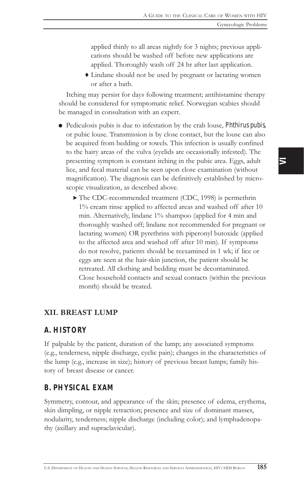applied thinly to all areas nightly for 3 nights; previous applications should be washed off before new applications are applied. Thoroughly wash off 24 hr after last application.

6 Lindane should not be used by pregnant or lactating women or after a bath.

Itching may persist for days following treatment; antihistamine therapy should be considered for symptomatic relief. Norwegian scabies should be managed in consultation with an expert.

- ! Pediculosis pubis is due to infestation by the crab louse, *Phthirus pubis,* or pubic louse. Transmission is by close contact, but the louse can also be acquired from bedding or towels. This infection is usually confined to the hairy areas of the vulva (eyelids are occasionally infested). The presenting symptom is constant itching in the pubic area. Eggs, adult lice, and fecal material can be seen upon close examination (without magnification). The diagnosis can be definitively established by microscopic visualization, as described above.
	- > The CDC-recommended treatment (CDC, 1998) is permethrin 1% cream rinse applied to affected areas and washed off after 10 min. Alternatively, lindane 1% shampoo (applied for 4 min and thoroughly washed off; lindane not recommended for pregnant or lactating women) OR pyrethrins with piperonyl butoxide (applied to the affected area and washed off after 10 min). If symptoms do not resolve, patients should be reexamined in 1 wk; if lice or eggs are seen at the hair-skin junction, the patient should be retreated. All clothing and bedding must be decontaminated. Close household contacts and sexual contacts (within the previous month) should be treated.

### XII. BREAST LUMP

### *A. HISTORY*

If palpable by the patient, duration of the lump; any associated symptoms (e.g., tenderness, nipple discharge, cyclic pain); changes in the characteristics of the lump (e.g., increase in size); history of previous breast lumps; family history of breast disease or cancer.

### *B. PHYSICAL EXAM*

Symmetry, contour, and appearance of the skin; presence of edema, erythema, skin dimpling, or nipple retraction; presence and size of dominant masses, nodularity, tenderness; nipple discharge (including color); and lymphadenopathy (axillary and supraclavicular).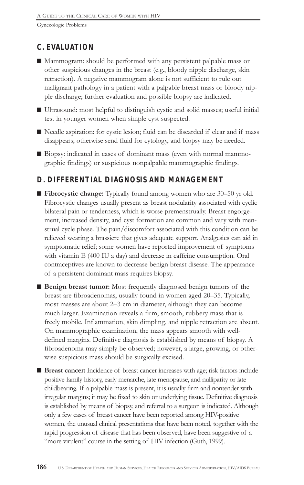## *C. EVALUATION*

- $\blacksquare$  Mammogram: should be performed with any persistent palpable mass or other suspicious changes in the breast (e.g., bloody nipple discharge, skin retraction). A negative mammogram alone is not sufficient to rule out malignant pathology in a patient with a palpable breast mass or bloody nipple discharge; further evaluation and possible biopsy are indicated.
- Ultrasound: most helpful to distinguish cystic and solid masses; useful initial test in younger women when simple cyst suspected.
- Needle aspiration: for cystic lesion; fluid can be discarded if clear and if mass disappears; otherwise send fluid for cytology, and biopsy may be needed.
- Biopsy: indicated in cases of dominant mass (even with normal mammographic findings) or suspicious nonpalpable mammographic findings.

## *D. DIFFERENTIAL DIAGNOSIS AND MANAGEMENT*

- Fibrocystic change: Typically found among women who are 30–50 yr old. Fibrocystic changes usually present as breast nodularity associated with cyclic bilateral pain or tenderness, which is worse premenstrually. Breast engorgement, increased density, and cyst formation are common and vary with menstrual cycle phase. The pain/discomfort associated with this condition can be relieved wearing a brassiere that gives adequate support. Analgesics can aid in symptomatic relief; some women have reported improvement of symptoms with vitamin E (400 IU a day) and decrease in caffeine consumption. Oral contraceptives are known to decrease benign breast disease. The appearance of a persistent dominant mass requires biopsy.
- **E** Benign breast tumor: Most frequently diagnosed benign tumors of the breast are fibroadenomas, usually found in women aged 20–35. Typically, most masses are about 2–3 cm in diameter, although they can become much larger. Examination reveals a firm, smooth, rubbery mass that is freely mobile. Inflammation, skin dimpling, and nipple retraction are absent. On mammographic examination, the mass appears smooth with welldefined margins. Definitive diagnosis is established by means of biopsy. A fibroadenoma may simply be observed; however, a large, growing, or otherwise suspicious mass should be surgically excised.
- Breast cancer: Incidence of breast cancer increases with age; risk factors include positive family history, early menarche, late menopause, and nulliparity or late childbearing. If a palpable mass is present, it is usually firm and nontender with irregular margins; it may be fixed to skin or underlying tissue. Definitive diagnosis is established by means of biopsy, and referral to a surgeon is indicated. Although only a few cases of breast cancer have been reported among HIV-positive women, the unusual clinical presentations that have been noted, together with the rapid progression of disease that has been observed, have been suggestive of a "more virulent" course in the setting of HIV infection (Guth, 1999).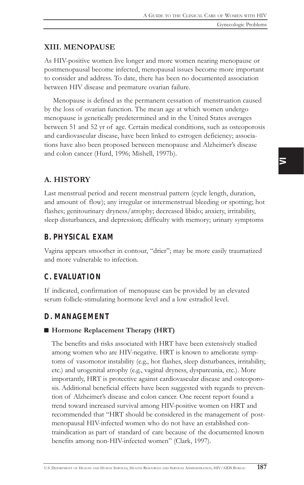### XIII. MENOPAUSE

As HIV-positive women live longer and more women nearing menopause or postmenopausal become infected, menopausal issues become more important to consider and address. To date, there has been no documented association between HIV disease and premature ovarian failure.

Menopause is defined as the permanent cessation of menstruation caused by the loss of ovarian function. The mean age at which women undergo menopause is genetically predetermined and in the United States averages between 51 and 52 yr of age. Certain medical conditions, such as osteoporosis and cardiovascular disease, have been linked to estrogen deficiency; associations have also been proposed between menopause and Alzheimer's disease and colon cancer (Hurd, 1996; Mishell, 1997b).

### A. HISTORY

Last menstrual period and recent menstrual pattern (cycle length, duration, and amount of flow); any irregular or intermenstrual bleeding or spotting; hot flashes; genitourinary dryness/atrophy; decreased libido; anxiety, irritability, sleep disturbances, and depression; difficulty with memory; urinary symptoms

### *B. PHYSICAL EXAM*

Vagina appears smoother in contour, "drier"; may be more easily traumatized and more vulnerable to infection.

### *C. EVALUATION*

If indicated, confirmation of menopause can be provided by an elevated serum follicle-stimulating hormone level and a low estradiol level.

### *D. MANAGEMENT*

### ■ Hormone Replacement Therapy (HRT)

The benefits and risks associated with HRT have been extensively studied among women who are HIV-negative. HRT is known to ameliorate symptoms of vasomotor instability (e.g., hot flashes, sleep disturbances, irritability, etc.) and urogenital atrophy (e.g., vaginal dryness, dyspareunia, etc.). More importantly, HRT is protective against cardiovascular disease and osteoporosis. Additional beneficial effects have been suggested with regards to prevention of Alzheimer's disease and colon cancer. One recent report found a trend toward increased survival among HIV-positive women on HRT and recommended that "HRT should be considered in the management of postmenopausal HIV-infected women who do not have an established contraindication as part of standard of care because of the documented known benefits among non-HIV-infected women" (Clark, 1997).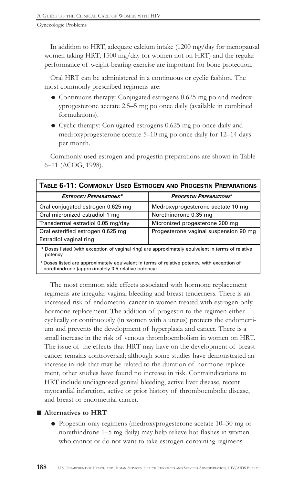In addition to HRT, adequate calcium intake (1200 mg/day for menopausal women taking HRT; 1500 mg/day for women not on HRT) and the regular performance of weight-bearing exercise are important for bone protection.

Oral HRT can be administered in a continuous or cyclic fashion. The most commonly prescribed regimens are:

- ! Continuous therapy: Conjugated estrogens 0.625 mg po and medroxyprogesterone acetate 2.5–5 mg po once daily (available in combined formulations).
- ! Cyclic therapy: Conjugated estrogens 0.625 mg po once daily and medroxyprogesterone acetate  $5-10$  mg po once daily for  $12-14$  days per month.

Commonly used estrogen and progestin preparations are shown in Table 6-11 (ACOG, 1998).

| <b>TABLE 6-11: COMMONLY USED ESTROGEN AND PROGESTIN PREPARATIONS</b>                                                                             |                                       |  |
|--------------------------------------------------------------------------------------------------------------------------------------------------|---------------------------------------|--|
| <b>ESTROGEN PREPARATIONS*</b>                                                                                                                    | <b>PROGESTIN PREPARATIONS'</b>        |  |
| Oral conjugated estrogen 0.625 mg                                                                                                                | Medroxyprogesterone acetate 10 mg     |  |
| Oral micronized estradiol 1 mg                                                                                                                   | Norethindrone 0.35 mg                 |  |
| Transdermal estradiol 0.05 mg/day                                                                                                                | Micronized progesterone 200 mg        |  |
| Oral esterified estrogen 0.625 mg                                                                                                                | Progesterone vaginal suspension 90 mg |  |
| Estradiol vaginal ring                                                                                                                           |                                       |  |
| * Doses listed (with exception of vaginal ring) are approximately equivalent in terms of relative<br>potency.                                    |                                       |  |
| Doses listed are approximately equivalent in terms of relative potency, with exception of<br>norethindrone (approximately 0.5 relative potency). |                                       |  |

The most common side effects associated with hormone replacement regimens are irregular vaginal bleeding and breast tenderness. There is an increased risk of endometrial cancer in women treated with estrogen-only hormone replacement. The addition of progestin to the regimen either cyclically or continuously (in women with a uterus) protects the endometrium and prevents the development of hyperplasia and cancer. There is a small increase in the risk of venous thromboembolism in women on HRT. The issue of the effects that HRT may have on the development of breast cancer remains controversial; although some studies have demonstrated an increase in risk that may be related to the duration of hormone replacement, other studies have found no increase in risk. Contraindications to HRT include undiagnosed genital bleeding, active liver disease, recent myocardial infarction, active or prior history of thromboembolic disease, and breast or endometrial cancer.

### ■ Alternatives to HRT

• Progestin-only regimens (medroxyprogesterone acetate 10-30 mg or norethindrone 1–5 mg daily) may help relieve hot flashes in women who cannot or do not want to take estrogen-containing regimens.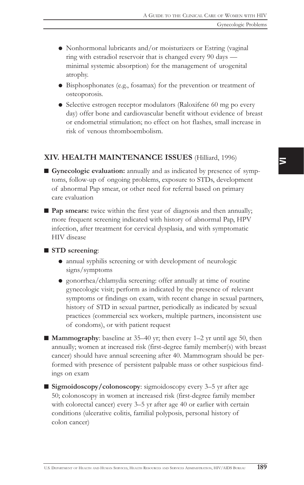- ! Nonhormonal lubricants and/or moisturizers or Estring (vaginal ring with estradiol reservoir that is changed every 90 days minimal systemic absorption) for the management of urogenital atrophy.
- ! Bisphosphonates (e.g., fosamax) for the prevention or treatment of osteoporosis.
- Selective estrogen receptor modulators (Raloxifene 60 mg po every day) offer bone and cardiovascular benefit without evidence of breast or endometrial stimulation; no effect on hot flashes, small increase in risk of venous thromboembolism.

### XIV. HEALTH MAINTENANCE ISSUES (Hilliard, 1996)

 $\blacksquare$  Gynecologic evaluation: annually and as indicated by presence of symptoms, follow-up of ongoing problems, exposure to STDs, development of abnormal Pap smear, or other need for referral based on primary care evaluation

■ Pap smears: twice within the first year of diagnosis and then annually; more frequent screening indicated with history of abnormal Pap, HPV infection, after treatment for cervical dysplasia, and with symptomatic HIV disease

#### $\blacksquare$  STD screening:

- $\bullet$  annual syphilis screening or with development of neurologic signs/symptoms
- ! gonorrhea/chlamydia screening: offer annually at time of routine gynecologic visit; perform as indicated by the presence of relevant symptoms or findings on exam, with recent change in sexual partners, history of STD in sexual partner, periodically as indicated by sexual practices (commercial sex workers, multiple partners, inconsistent use of condoms), or with patient request
- $\blacksquare$  Mammography: baseline at 35–40 yr; then every 1–2 yr until age 50, then annually; women at increased risk (first-degree family member(s) with breast cancer) should have annual screening after 40. Mammogram should be performed with presence of persistent palpable mass or other suspicious findings on exam
- Sigmoidoscopy/colonoscopy: sigmoidoscopy every 3-5 yr after age 50; colonoscopy in women at increased risk (first-degree family member with colorectal cancer) every 3-5 yr after age 40 or earlier with certain conditions (ulcerative colitis, familial polyposis, personal history of colon cancer)

 $\overline{\phantom{1}}$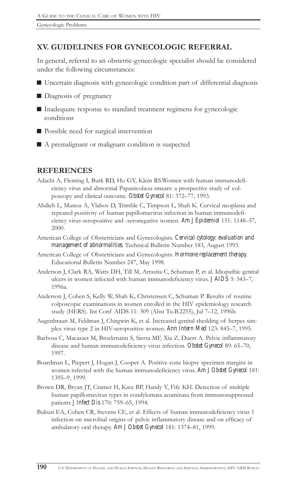## XV. GUIDELINES FOR GYNECOLOGIC REFERRAL

In general, referral to an obstetric-gynecologic specialist should be considered under the following circumstances:

- Uncertain diagnosis with gynecologic condition part of differential diagnosis
- Diagnosis of pregnancy
- $\blacksquare$  Inadequate response to standard treatment regimens for gynecologic conditions
- Possible need for surgical intervention
- $\blacksquare$  A premalignant or malignant condition is suspected

### REFERENCES

- Adachi A, Fleming I, Burk RD, Ho GY, Klein RS.Women with human immunodeficiency virus and abnormal Papanicolaou smears: a prospective study of colposcopy and clinical outcome. Obstet Gynecol 81: 372-77, 1993.
- Ahdieh L, Munoz A, Vlahov D, Trimble C, Timpson L, Shah K. Cervical neoplasia and repeated positivity of human papillomavirus infection in human immunodeficiency virus-seropositive and -seronegative women. *Am J Epidemiol* 151: 1148-57, 2000.
- American College of Obstetricians and Gynecologists. *Cervical cytology: evaluation and management of abnormalities*. Technical Bulletin Number 183, August 1993.
- American College of Obstetricians and Gynecologists. *Hormone replacement therapy*. Educational Bulletin Number 247, May 1998.
- Anderson J, Clark RA, Watts DH, Till M, Arrastia C, Schuman P, et al. Idiopathic genital ulcers in women infected with human immunodeficiency virus. *JAIDS* 3: 343-7, 1996a.
- Anderson J, Cohen S, Kelly W, Shah K, Christensen C, Schuman P. Results of routine colposcopic examinations in women enrolled in the HIV epidemiology research study (HERS). Int Conf AIDS 11: 309 (Abst Tu.B.2255), Jul 7–12, 1996b.
- Augenbraun M, Feldman J, Chirgwin K, et al. Increased genital shedding of herpes simplex virus type 2 in HIV-seropositive women. *Ann Intern Med* 123: 845-7, 1995.
- Barbosa C, Macasaet M, Brockmann S, Sierra MF, Xia Z, Duerr A. Pelvic inflammatory disease and human immunodeficiency virus infection. Obstet Gynecol 89: 65-70, 1997.
- Boardman L, Piepert J, Hogan J, Cooper A. Positive cone biopsy specimen margins in women infected with the human immunodeficiency virus. *Am J Obstet Gynecol* 181: 1395-9, 1999.
- Brown DR, Bryan JT, Cramer H, Katz BP, Handy V, Fife KH. Detection of multiple human papillomavirus types in condylomata acuminata from immunosuppressed patients *J Infect Dis* 170: 759–65, 1994.
- Bukusi EA, Cohen CR, Stevens CE, et al. Effects of human immunodeficiency virus 1 infection on microbial origins of pelvic inflammatory disease and on efficacy of ambulatory oral therapy. *Am J Obstet Gynecol* 181: 1374-81, 1999.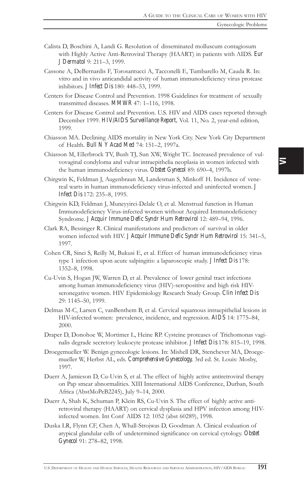- Calista D, Boschini A, Landi G. Resolution of disseminated molluscum contagiosum with Highly Active Anti-Retroviral Therapy (HAART) in patients with AIDS. *Eur J Dermatol* 9: 211-3, 1999.
- Cassone A, DeBernardis F, Torosantucci A, Tacconelli E, Tumbarello M, Cauda R. In: vitro and in vivo anticandidal activity of human immunodeficiency virus protease inhibitors. *J Infect Dis* 180: 448-53, 1999.
- Centers for Disease Control and Prevention. 1998 Guidelines for treatment of sexually transmitted diseases. **MMWR** 47: 1-116, 1998.
- Centers for Disease Control and Prevention. U.S. HIV and AIDS cases reported through December 1999. *HIV/AIDS Surveillance Report,* Vol. 11, No. 2, year-end edition, 1999.
- Chiasson MA. Declining AIDS mortality in New York City. New York City Department of Health. *Bull N Y Acad Med* 74: 151-2, 1997a.
- Chiasson M, Ellerbrock TV, Bush TJ, Sun XW, Wright TC. Increased prevalence of vulvovaginal condyloma and vulvar intraepithelia neoplasia in women infected with the human immunodeficiency virus. Obstet Gynecol 89: 690-4, 1997b.
- Chirgwin K, Feldman J, Augenbraun M, Landesman S, Minkoff H. Incidence of venereal warts in human immunodeficiency virus-infected and uninfected women. *J Infect Dis* 172: 235-8, 1995.
- Chirgwin KD, Feldman J, Muneyyirci-Delale O, et al. Menstrual function in Human Immunodeficiency Virus-infected women without Acquired Immunodeficiency Syndrome. *J Acquir Immune Defic Syndr Hum Retrovirol* 12: 489-94, 1996.
- Clark RA, Bessinger R. Clinical manifestations and predictors of survival in older women infected with HIV. *J Acquir Immune Defic Syndr Hum Retrovirol* 15: 341-5, 1997.
- Cohen CR, Sinei S, Reilly M, Bukusi E, et al. Effect of human immunodeficiency virus type 1 infection upon acute salpingitis: a laparoscopic study. *J Infect Dis* 178: 1352-8, 1998.
- Cu-Uvin S, Hogan JW, Warren D, et al. Prevalence of lower genital tract infections among human immunodeficiency virus (HIV)-seropositive and high risk HIVseronegative women. HIV Epidemiology Research Study Group. *Clin Infect Dis* 29: 1145-50, 1999.
- Delmas M-C, Larsen C, vanBenthem B, et al. Cervical squamous intraepithelial lesions in HIV-infected women: prevalence, incidence, and regression. *AIDS* 14: 1775–84, 2000.
- Draper D, Donohoe W, Mortimer L, Heine RP. Cysteine proteases of Trichomonas vaginalis degrade secretory leukocyte protease inhibitor. *J Infect Dis* 178: 815-19, 1998.
- Droegemueller W. Benign gynecologic lesions. In: Mishell DR, Stenchever MA, Droegemueller W, Herbst AL, eds. *Comprehensive Gynecology,* 3rd ed. St. Louis: Mosby, 1997.
- Duerr A, Jamieson D, Cu-Uvin S, et al. The effect of highly active antiretroviral therapy on Pap smear abnormalities. XIII International AIDS Conference, Durban, South Africa (AbstMoPeB2245), July 9-14, 2000.
- Duerr A, Shah K, Schuman P, Klein RS, Cu-Uvin S. The effect of highly active antiretroviral therapy (HAART) on cervical dysplasia and HPV infection among HIVinfected women. Int Conf AIDS 12: 1052 (abst 60289), 1998.
- Duska LR, Flynn CF, Chen A, Whall-Strojwas D, Goodman A. Clinical evaluation of atypical glandular cells of undetermined significance on cervical cytology. *Obstet* Gynecol 91: 278-82, 1998.

 $\overline{\phantom{1}}$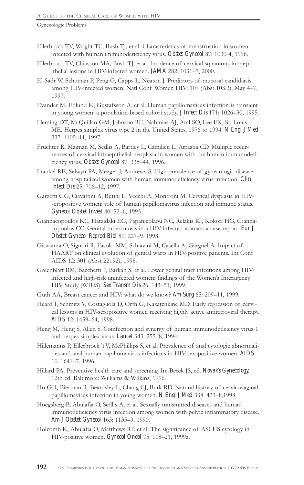- Ellerbrock TV, Wright TC, Bush TJ, et al. Characteristics of menstruation in women infected with human immunodeficiency virus. *Obstet Gynecol* 87: 1030-4, 1996.
- Ellerbrock TV, Chiasson MA, Bush TJ, et al. Incidence of cervical squamous intraepithelial lesions in HIV-infected women. *JAMA* 282: 1031-7, 2000.
- El-Sadr W, Schuman P, Peng G, Capps L, Neaton J. Predictors of mucosal candidiasis among HIV-infected women. Natl Conf Women HIV: 107 (Abst 103.3), May 47, 1997.
- Evander M, Edlund K, Gustafsson A, et al. Human papillomavirus infection is transient in young women: a population-based cohort study. *J Infect Dis* 171: 1026–30, 1995.
- Fleming DT, McQuillan GM, Johnson RE, Nahmias AJ, Aral SO, Lee FK, St. Louis ME. Herpes simplex virus type 2 in the United States, 1976 to 1994. *N Engl J Med* 337: 1105-11, 1997.
- Fruchter R, Maiman M, Sedlis A, Bartley L, Camilien L, Arrastia CD. Multiple recurrences of cervical intraepithelial neoplasia in women with the human immunodeficiency virus. Obstet Gynecol 87: 338-44, 1996.
- Frankel RE, Selwyn PA, Mezger J, Andrews S. High prevalence of gynecologic disease among hospitalized women with human immunodeficiency virus infection. *Clin Infect Dis* 25: 706-12, 1997.
- Garzetti GG, Ciavattini A, Butini L, Vecchi A, Montroni M. Cervical dysplasia in HIVseropositive women: role of human papillomavirus infection and immune status. *Gynecol Obstet Invest* 40: 52–6, 1995.
- Giannacopoulos KC, Hatzidaki EG, Papanicolaou NC, Relakis KJ, Kokori HG, Giannacopoulos CC. Genital tuberculosis in a HIV-infected woman: a case report. *Eur J* Obstet Gynecol Reprod Biol 80: 227-9, 1998.
- Giovanna O, Signori R, Fasolo MM, Schiavini M, Casella A, Gargnel A. Impact of HAART on clinical evolution of genital warts in HIV-positive patients. Int Conf AIDS 12: 301 (Abst 22192), 1998.
- Greenblatt RM, Bacchetti P, Barkan S, et al. Lower genital tract infections among HIVinfected and high-risk uninfected women: findings of the Women's Interagency HIV Study (WIHS). *Sex Transm Dis* 26: 143-51, 1999.
- Guth AA, Breast cancer and HIV: what do we know? *Am Surg* 65: 209-11, 1999.
- Heard I, Schmitz V, Costagliola D, Orth G, Kazatchkine MD. Early regression of cervical lesions in HIV-seropositive women receiving highly active antiretroviral therapy. *AIDS* 12: 1459-64, 1998.
- Heng M, Heng S, Allen S. Coinfection and synergy of human immunodeficiency virus-1 and herpes simplex virus. *Lancet* 343: 255-8, 1994.
- Hillemanns P, Ellerbrock TV, McPhillips S, et al. Prevalence of anal cytologic abnormalities and anal human papillomavirus infections in HIV-seropositive women. *AIDS* 10: 1641-7, 1996.
- Hillard PA. Preventive health care and screening. In: Berek JS, ed. *Novak's Gynecology,* 12th ed. Baltimore: Williams & Wilkins, 1996.
- Ho GH, Bierman R, Beardsley L, Chang CJ, Burk RD. Natural history of cervicovaginal papillomavirus infection in young women. *N Engl J Med* 338: 423-8,1998.
- Hoegsberg B, Abulafia O, Sedlis A, et al. Sexually transmitted diseases and human immunodeficiency virus infection among women with pelvic inflammatory disease. *Am J Obstet Gynecol* 163: 1135-9, 1990.
- Holcomb K, Abulafia O, Matthews RP, et al. The significance of ASCUS cytology in HIV-positive women. *Gynecol Oncol* 75: 118-21, 1999a.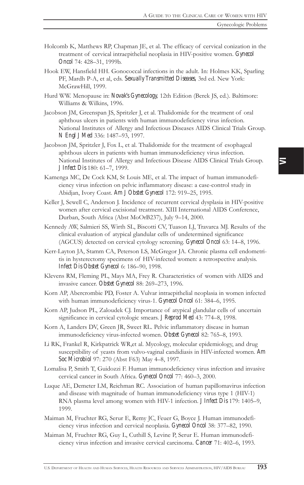- Holcomb K, Matthews RP, Chapman JE, et al. The efficacy of cervical conization in the treatment of cervical intraepithelial neoplasia in HIV-positive women. *Gynecol Oncol* 74: 428-31, 1999b.
- Hook EW, Hansfield HH. Gonococcal infections in the adult. In: Holmes KK, Sparling PF, Mardh P-A, et al, eds. *Sexually Transmitted Diseases,* 3rd ed. New York: McGrawHill, 1999.
- Hurd WW. Menopause in: *Novak's Gynecology,* 12th Edition (Berek JS, ed.). Baltimore: Williams & Wilkins, 1996.
- Jacobson JM, Greenspan JS, Spritzler J, et al. Thalidomide for the treatment of oral aphthous ulcers in patients with human immunodeficiency virus infection. National Institutes of Allergy and Infectious Diseases AIDS Clinical Trials Group. *N Engl J Med* 336: 1487–93, 1997.
- Jacobson JM, Spritzler J, Fox L, et al. Thalidomide for the treatment of esophageal aphthous ulcers in patients with human immunodeficiency virus infection. National Institutes of Allergy and Infectious Disease AIDS Clinical Trials Group. *J Infect Dis* 180: 61-7, 1999.
- Kamenga MC, De Cock KM, St Louis ME, et al. The impact of human immunodeficiency virus infection on pelvic inflammatory disease: a case-control study in Abidjan, Ivory Coast. *Am J Obstet Gynecol* 172: 919-25, 1995.
- Keller J, Sewell C, Anderson J. Incidence of recurrent cervical dysplasia in HIV-positive women after cervical excisional treatment. XIII International AIDS Conference, Durban, South Africa (Abst MoOrB237), July 9-14, 2000.
- Kennedy AW, Salmieri SS, Wirth SL, Biscotti CV, Tuason LJ, Travarca MJ. Results of the clinical evaluation of atypical glandular cells of undetermined significance (AGCUS) detected on cervical cytology screening. *Gynecol Oncol* 63: 14-8, 1996.
- Kerr-Layton JA, Stamm CA, Peterson LS, McGregor JA. Chronic plasma cell endometritis in hysterectomy specimens of HIV-infected women: a retrospective analysis. *Infect Dis Obstet Gynecol* 6: 186-90, 1998.
- Klevens RM, Fleming PL, Mays MA, Frey R. Characteristics of women with AIDS and invasive cancer. Obstet Gynecol 88: 269-273, 1996.
- Korn AP, Abercrombie PD, Foster A. Vulvar intraepithelial neoplasia in women infected with human immunodeficiency virus-1. *Gynecol Oncol* 61: 384-6, 1995.
- Korn AP, Judson PL, Zaloudek CJ. Importance of atypical glandular cells of uncertain significance in cervical cytologic smears. *J Reprod Med* 43: 774–8, 1998.
- Korn A, Landers DV, Green JR, Sweet RL. Pelvic inflammatory disease in human immunodeficiency virus-infected women. Obstet Gynecol 82: 765-8, 1993.
- Li RK, Frankel R, Kirkpatrick WR,et al. Mycology, molecular epidemiology, and drug susceptibility of yeasts from vulvo-vaginal candidiasis in HIV-infected women. *Am* Soc Microbiol 97: 270 (Abst F63) May 4-8, 1997.
- Lomalisa P, Smith T, Guidozzi F. Human immunodeficiency virus infection and invasive cervical cancer in South Africa. *Gynecol Oncol* 77: 460-3, 2000.
- Luque AE, Demeter LM, Reichman RC. Association of human papillomavirus infection and disease with magnitude of human immunodeficiency virus type 1 (HIV-1) RNA plasma level among women with HIV-1 infection. *J Infect Dis* 179: 1405-9, 1999.
- Maiman M, Fruchter RG, Serur E, Remy JC, Feuer G, Boyce J. Human immunodeficiency virus infection and cervical neoplasia. *Gynecol Oncol* 38: 377–82, 1990.
- Maiman M, Fruchter RG, Guy L, Cuthill S, Levine P, Serur E. Human immunodeficiency virus infection and invasive cervical carcinoma. *Cancer* 71: 402-6, 1993.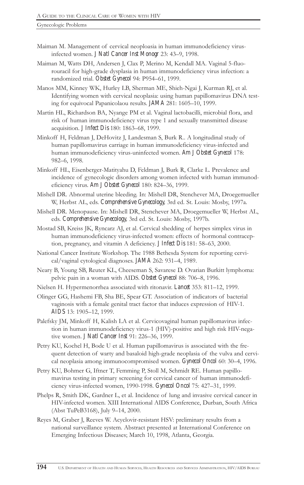- Maiman M. Management of cervical neoploasia in human immunodeficiency virusinfected women. *J Natl Cancer Inst Monogr* 23: 43-9, 1998.
- Maiman M, Watts DH, Andersen J, Clax P, Merino M, Kendall MA. Vaginal 5-fluorouracil for high-grade dysplasia in human immunodeficiency virus infection: a randomized trial. Obstet Gynecol 94: P954-61, 1999.
- Manos MM, Kinney WK, Hurley LB, Sherman ME, Shieh-Ngai J, Kurman RJ, et al. Identifying women with cervical neoplasia: using human papillomavirus DNA testing for equivocal Papanicolaou results. **JAMA** 281: 1605-10, 1999.
- Martin HL, Richardson BA, Nyange PM et al. Vaginal lactobacilli, microbial flora, and risk of human immunodeficiency virus type 1 and sexually transmitted disease acquisition. *J Infect Dis* 180: 1863-68, 1999.
- Minkoff H, Feldman J, DeHovitz J, Landesman S, Burk R.. A longitudinal study of human papillomavirus carriage in human immunodeficiency virus-infected and human immunodeficiency virus-uninfected women. *Am J Obstet Gynecol* 178: 982-6, 1998.
- Minkoff HL, Eisenberger-Matityahu D, Feldman J, Burk R, Clarke L. Prevalence and incidence of gynecologic disorders among women infected with human immunodeficiency virus. *Am J Obstet Gynecol* 180: 824-36, 1999.
- Mishell DR. Abnormal uterine bleeding. In: Mishell DR, Stenchever MA, Droegemueller W, Herbst AL, eds. *Comprehensive Gynecology,* 3rd ed. St. Louis: Mosby, 1997a.
- Mishell DR. Menopause. In: Mishell DR, Stenchever MA, Droegemueller W, Herbst AL, eds. *Comprehensive Gynecology,* 3rd ed. St. Louis: Mosby, 1997b.
- Mostad SB, Kreiss JK, Ryncarz AJ, et al. Cervical shedding of herpes simplex virus in human immunodeficiency virus-infected women: effects of hormonal contraception, pregnancy, and vitamin A deficiency. *J Infect Dis* 181: 58-63, 2000.
- National Cancer Institute Workshop. The 1988 Bethesda System for reporting cervical/vaginal cytological diagnoses. **JAMA** 262: 931-4, 1989.
- Neary B, Young SB, Reuter KL, Cheeseman S, Savarese D. Ovarian Burkitt lymphoma: pelvic pain in a woman with AIDS. Obstet Gynecol 88: 706-8, 1996.
- Nielsen H. Hypermenorrhea associated with ritonavir. *Lancet* 353: 811-12, 1999.
- Olinger GG, Hashemi FB, Sha BE, Spear GT. Association of indicators of bacterial vaginosis with a female genital tract factor that induces expression of HIV-1. *AIDS* 13: 1905–12, 1999.
- Palefsky JM, Minkoff H, Kalish LA et al. Cervicovaginal human papillomavirus infection in human immunodeficiency virus-1 (HIV)-positive and high risk HIV-negative women. *J Natl Cancer Inst* 91: 226-36, 1999.
- Petry KU, Kochel H, Bode U et al. Human papillomavirus is associated with the frequent detection of warty and basaloid high-grade neoplasia of the vulva and cervical neoplasia among immunocompromised women. *Gynecol Oncol* 60: 30-4, 1996.
- Petry KU, Bohmer G, Iftner T, Femming P, Stoll M, Schmidt RE. Human papillomavirus testing in primary screening for cervical cancer of human immunodeficiency virus-infected women, 1990-1998. *Gynecol Oncol* 75: 427-31, 1999.
- Phelps R, Smith DK, Gardner L, et al. Incidence of lung and invasive cervical cancer in HIV-infected women. XIII International AIDS Conference, Durban, South Africa (Abst TuPeB3168), July 9-14, 2000.
- Reyes M, Graber J, Reeves W. Acyclovir-resistant HSV: preliminary results from a national surveillance system. Abstract presented at International Conference on Emerging Infectious Diseases; March 10, 1998, Atlanta, Georgia.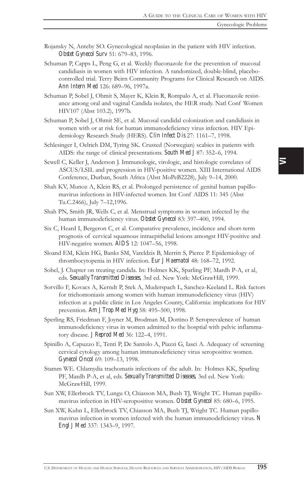- Rojansky N, Anteby SO. Gynecological neoplasias in the patient with HIV infection. **Obstet Gynecol Surv** 51: 679-83, 1996.
- Schuman P, Capps L, Peng G, et al. Weekly fluconazole for the prevention of mucosal candidiasis in women with HIV infection. A randomized, double-blind, placebocontrolled trial. Terry Beirn Community Programs for Clinical Research on AIDS. *Ann Intern Med* 126: 689–96, 1997a.
- Schuman P, Sobel J, Ohmit S, Mayer K, Klein R, Rompalo A, et al. Fluconazole resistance among oral and vaginal Candida isolates, the HER study. Natl Conf Women HIV107 (Abst 103.2), 1997b.
- Schuman P, Sobel J, Ohmit SE, et al. Mucosal candidal colonization and candidiasis in women with or at risk for human immunodeficiency virus infection. HIV Epidemiology Research Study (HERS). *Clin Infect Dis* 27: 1161-7, 1998.
- Schlesinger I, Oelrich DM, Tyring SK. Crusted (Norwegian) scabies in patients with AIDS: the range of clinical presentations. *South Med J* 87: 352–6, 1994.
- Sewell C, Keller J, Anderson J. Immunologic, virologic, and histologic correlates of ASCUS/LSIL and progression in HIV-positive women. XIII International AIDS Conference, Durban, South Africa (Abst MoPeB2228), July 9-14, 2000.
- Shah KV, Munoz A, Klein RS, et al. Prolonged persistence of genital human papillomavirus infections in HIV-infected women. Int Conf AIDS 11: 345 (Abst Tu.C.2466), July 7-12,1996.
- Shah PN, Smith JR, Wells C, et al. Menstrual symptoms in women infected by the human immunodeficiency virus. Obstet Gynecol 83: 397-400, 1994.
- Six C, Heard I, Bergeron C, et al. Comparative prevalence, incidence and short-term prognosis of cervical squamous intraepithelial lesions amongst HIV-positive and HIV-negative women. **AIDS** 12: 1047-56, 1998.
- Sloand EM, Klein HG, Banks SM, Vareldzis B, Merritt S, Pierce P. Epidemiology of thrombocytopenia in HIV infection. *Eur J Haematol* 48: 168-72, 1992.
- Sobel, J. Chapter on treating candida. In: Holmes KK, Sparling PF, Mardh P-A, et al, eds. *Sexually Transmitted Diseases,* 3rd ed. New York: McGrawHill, 1999.
- Sorvillo F, Kovacs A, Kerndt P, Stek A, Muderspach L, Sanchez-Keeland L. Risk factors for trichomoniasis among women with human immunodeficiency virus (HIV) infection at a public clinic in Los Angeles County, California: implications for HIV prevention. *Am J Trop Med Hyg* 58: 495-500, 1998.
- Sperling RS, Friedman F, Joyner M, Brodman M, Dottino P. Seroprevalence of human immunodeficiency virus in women admitted to the hosptial with pelvic inflammatory disease. *J Reprod Med* 36: 122-4, 1991.
- Spinillo A, Capuzzo E, Tenti P, De Santolo A, Piazzi G, Iasci A. Adequacy of screening cervical cytology among human immunodeficiency virus seropositive women. Gynecol Oncol 69: 109-13, 1998.
- Stamm WE. Chlamydia trachomatis infections of the adult. In: Holmes KK, Sparling PF, Mardh P-A, et al, eds. *Sexually Transmitted Diseases,* 3rd ed. New York: McGrawHill, 1999.
- Sun XW, Ellerbrock TV, Lungu O, Chiasson MA, Bush TJ, Wright TC. Human papillomavirus infection in HIV-seropositive women. Obstet Gynecol 85: 680-6, 1995.
- Sun XW, Kuhn L, Ellerbrock TV, Chiasson MA, Bush TJ, Wright TC. Human papillomavirus infection in women infected with the human immunodeficiency virus. *N Engl J Med* 337: 1343-9, 1997.